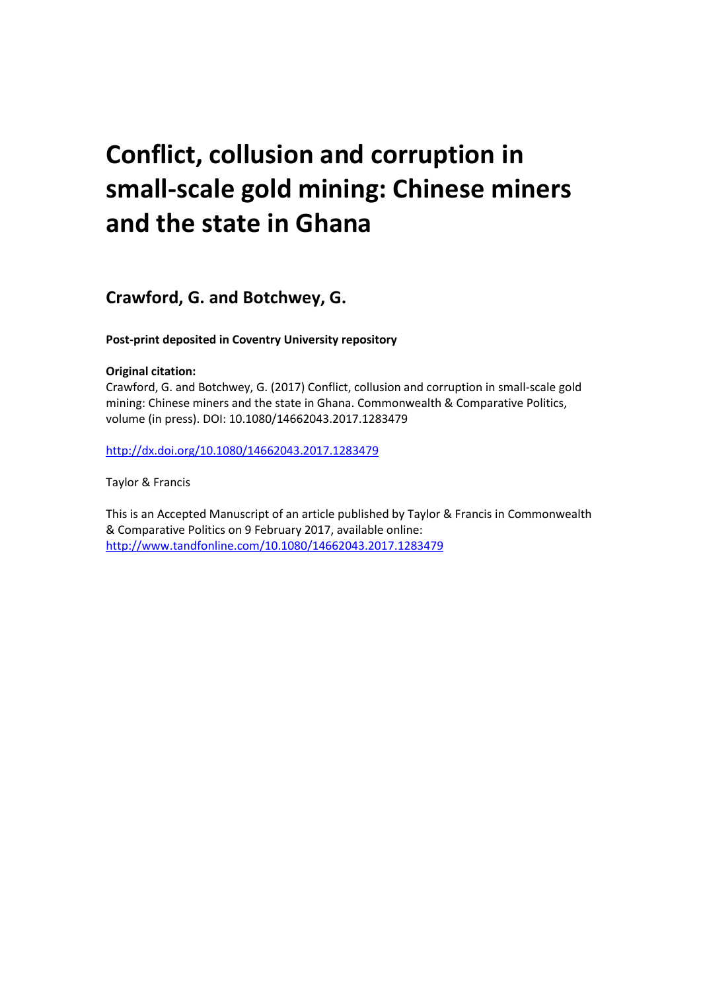# **Conflict, collusion and corruption in small-scale gold mining: Chinese miners and the state in Ghana**

**Crawford, G. and Botchwey, G.**

**Post-print deposited in Coventry University repository**

# **Original citation:**

Crawford, G. and Botchwey, G. (2017) Conflict, collusion and corruption in small-scale gold mining: Chinese miners and the state in Ghana. Commonwealth & Comparative Politics, volume (in press). DOI: 10.1080/14662043.2017.1283479

<http://dx.doi.org/10.1080/14662043.2017.1283479>

Taylor & Francis

This is an Accepted Manuscript of an article published by Taylor & Francis in Commonwealth & Comparative Politics on 9 February 2017, available online: <http://www.tandfonline.com/10.1080/14662043.2017.1283479>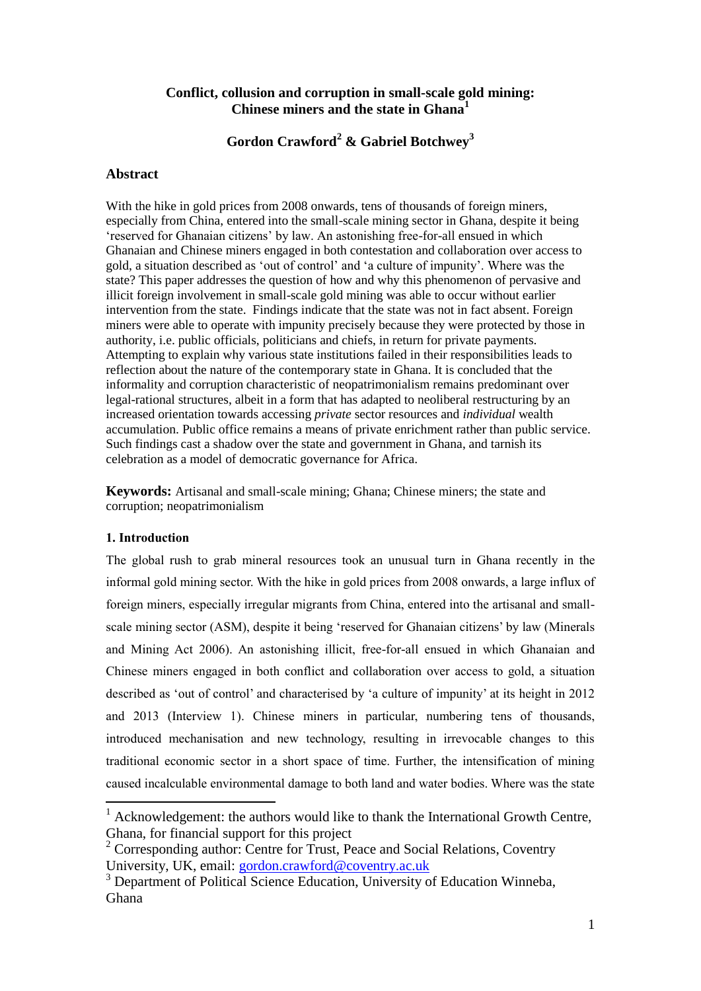# **Conflict, collusion and corruption in small-scale gold mining: Chinese miners and the state in Ghana<sup>1</sup>**

**Gordon Crawford<sup>2</sup> & Gabriel Botchwey<sup>3</sup>**

# **Abstract**

With the hike in gold prices from 2008 onwards, tens of thousands of foreign miners, especially from China, entered into the small-scale mining sector in Ghana, despite it being 'reserved for Ghanaian citizens' by law. An astonishing free-for-all ensued in which Ghanaian and Chinese miners engaged in both contestation and collaboration over access to gold, a situation described as 'out of control' and 'a culture of impunity'. Where was the state? This paper addresses the question of how and why this phenomenon of pervasive and illicit foreign involvement in small-scale gold mining was able to occur without earlier intervention from the state. Findings indicate that the state was not in fact absent. Foreign miners were able to operate with impunity precisely because they were protected by those in authority, i.e. public officials, politicians and chiefs, in return for private payments. Attempting to explain why various state institutions failed in their responsibilities leads to reflection about the nature of the contemporary state in Ghana. It is concluded that the informality and corruption characteristic of neopatrimonialism remains predominant over legal-rational structures, albeit in a form that has adapted to neoliberal restructuring by an increased orientation towards accessing *private* sector resources and *individual* wealth accumulation. Public office remains a means of private enrichment rather than public service. Such findings cast a shadow over the state and government in Ghana, and tarnish its celebration as a model of democratic governance for Africa.

**Keywords:** Artisanal and small-scale mining; Ghana; Chinese miners; the state and corruption; neopatrimonialism

# **1. Introduction**

The global rush to grab mineral resources took an unusual turn in Ghana recently in the informal gold mining sector. With the hike in gold prices from 2008 onwards, a large influx of foreign miners, especially irregular migrants from China, entered into the artisanal and smallscale mining sector (ASM), despite it being 'reserved for Ghanaian citizens' by law (Minerals and Mining Act 2006). An astonishing illicit, free-for-all ensued in which Ghanaian and Chinese miners engaged in both conflict and collaboration over access to gold, a situation described as 'out of control' and characterised by 'a culture of impunity' at its height in 2012 and 2013 (Interview 1). Chinese miners in particular, numbering tens of thousands, introduced mechanisation and new technology, resulting in irrevocable changes to this traditional economic sector in a short space of time. Further, the intensification of mining caused incalculable environmental damage to both land and water bodies. Where was the state 1

 $1$  Acknowledgement: the authors would like to thank the International Growth Centre, Ghana, for financial support for this project

<sup>&</sup>lt;sup>2</sup> Corresponding author: Centre for Trust, Peace and Social Relations, Coventry University, UK, email: [gordon.crawford@coventry.ac.uk](mailto:gordon.crawford@coventry.ac.uk)

<sup>&</sup>lt;sup>3</sup> Department of Political Science Education, University of Education Winneba, Ghana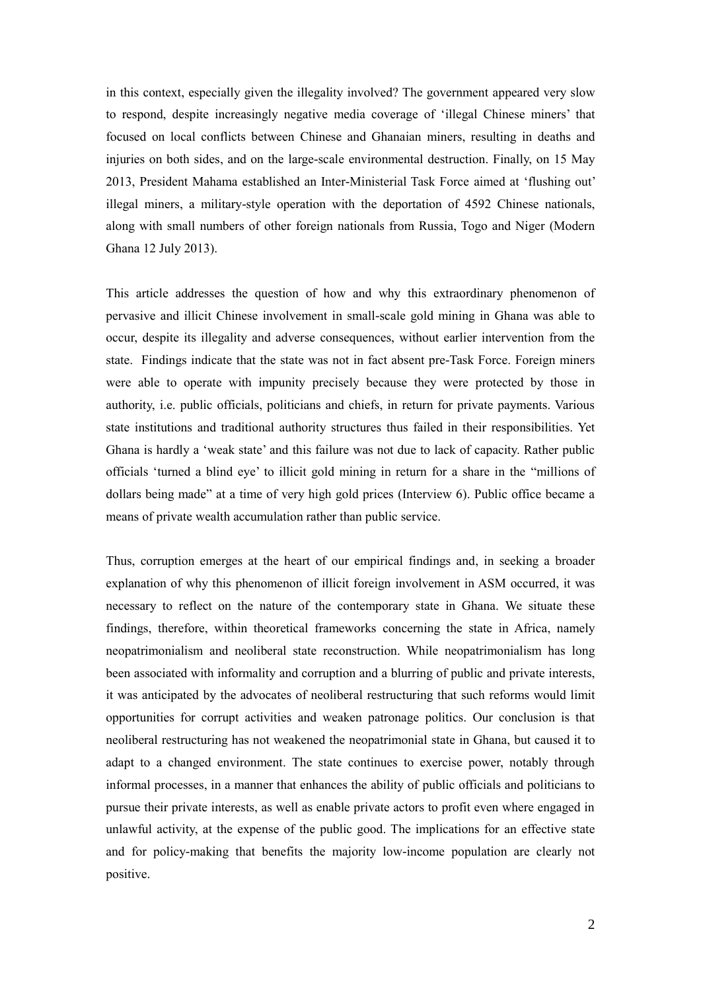in this context, especially given the illegality involved? The government appeared very slow to respond, despite increasingly negative media coverage of 'illegal Chinese miners' that focused on local conflicts between Chinese and Ghanaian miners, resulting in deaths and injuries on both sides, and on the large-scale environmental destruction. Finally, on 15 May 2013, President Mahama established an Inter-Ministerial Task Force aimed at 'flushing out' illegal miners, a military-style operation with the deportation of 4592 Chinese nationals, along with small numbers of other foreign nationals from Russia, Togo and Niger (Modern Ghana 12 July 2013).

This article addresses the question of how and why this extraordinary phenomenon of pervasive and illicit Chinese involvement in small-scale gold mining in Ghana was able to occur, despite its illegality and adverse consequences, without earlier intervention from the state. Findings indicate that the state was not in fact absent pre-Task Force. Foreign miners were able to operate with impunity precisely because they were protected by those in authority, i.e. public officials, politicians and chiefs, in return for private payments. Various state institutions and traditional authority structures thus failed in their responsibilities. Yet Ghana is hardly a 'weak state' and this failure was not due to lack of capacity. Rather public officials 'turned a blind eye' to illicit gold mining in return for a share in the "millions of dollars being made" at a time of very high gold prices (Interview 6). Public office became a means of private wealth accumulation rather than public service.

Thus, corruption emerges at the heart of our empirical findings and, in seeking a broader explanation of why this phenomenon of illicit foreign involvement in ASM occurred, it was necessary to reflect on the nature of the contemporary state in Ghana. We situate these findings, therefore, within theoretical frameworks concerning the state in Africa, namely neopatrimonialism and neoliberal state reconstruction. While neopatrimonialism has long been associated with informality and corruption and a blurring of public and private interests, it was anticipated by the advocates of neoliberal restructuring that such reforms would limit opportunities for corrupt activities and weaken patronage politics. Our conclusion is that neoliberal restructuring has not weakened the neopatrimonial state in Ghana, but caused it to adapt to a changed environment. The state continues to exercise power, notably through informal processes, in a manner that enhances the ability of public officials and politicians to pursue their private interests, as well as enable private actors to profit even where engaged in unlawful activity, at the expense of the public good. The implications for an effective state and for policy-making that benefits the majority low-income population are clearly not positive.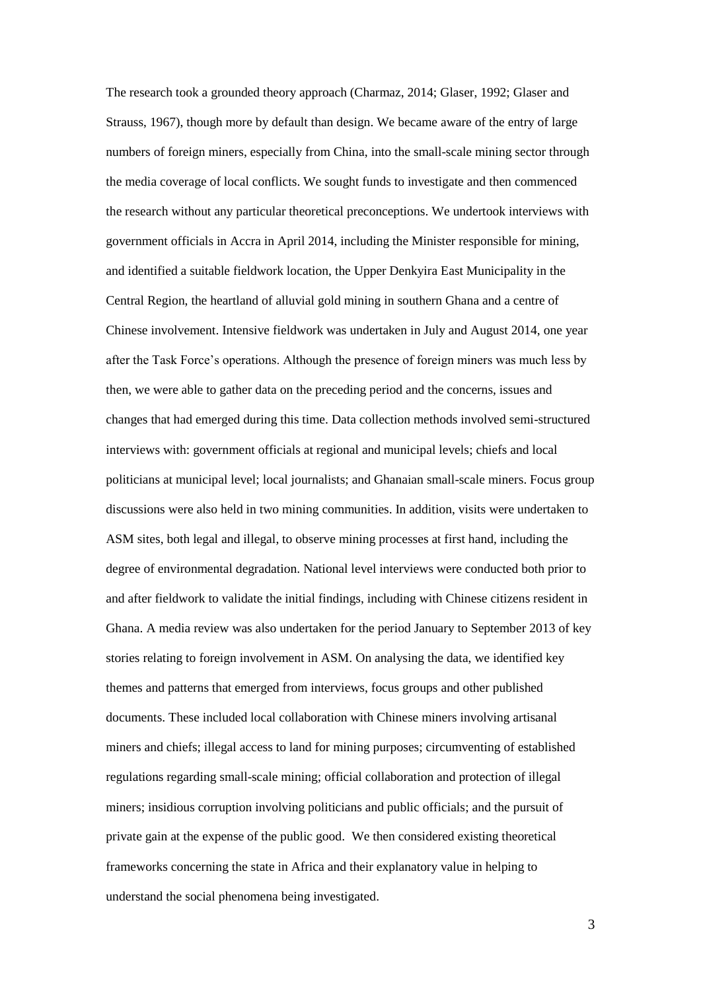The research took a grounded theory approach (Charmaz, 2014; Glaser, 1992; Glaser and Strauss, 1967), though more by default than design. We became aware of the entry of large numbers of foreign miners, especially from China, into the small-scale mining sector through the media coverage of local conflicts. We sought funds to investigate and then commenced the research without any particular theoretical preconceptions. We undertook interviews with government officials in Accra in April 2014, including the Minister responsible for mining, and identified a suitable fieldwork location, the Upper Denkyira East Municipality in the Central Region, the heartland of alluvial gold mining in southern Ghana and a centre of Chinese involvement. Intensive fieldwork was undertaken in July and August 2014, one year after the Task Force's operations. Although the presence of foreign miners was much less by then, we were able to gather data on the preceding period and the concerns, issues and changes that had emerged during this time. Data collection methods involved semi-structured interviews with: government officials at regional and municipal levels; chiefs and local politicians at municipal level; local journalists; and Ghanaian small-scale miners. Focus group discussions were also held in two mining communities. In addition, visits were undertaken to ASM sites, both legal and illegal, to observe mining processes at first hand, including the degree of environmental degradation. National level interviews were conducted both prior to and after fieldwork to validate the initial findings, including with Chinese citizens resident in Ghana. A media review was also undertaken for the period January to September 2013 of key stories relating to foreign involvement in ASM. On analysing the data, we identified key themes and patterns that emerged from interviews, focus groups and other published documents. These included local collaboration with Chinese miners involving artisanal miners and chiefs; illegal access to land for mining purposes; circumventing of established regulations regarding small-scale mining; official collaboration and protection of illegal miners; insidious corruption involving politicians and public officials; and the pursuit of private gain at the expense of the public good. We then considered existing theoretical frameworks concerning the state in Africa and their explanatory value in helping to understand the social phenomena being investigated.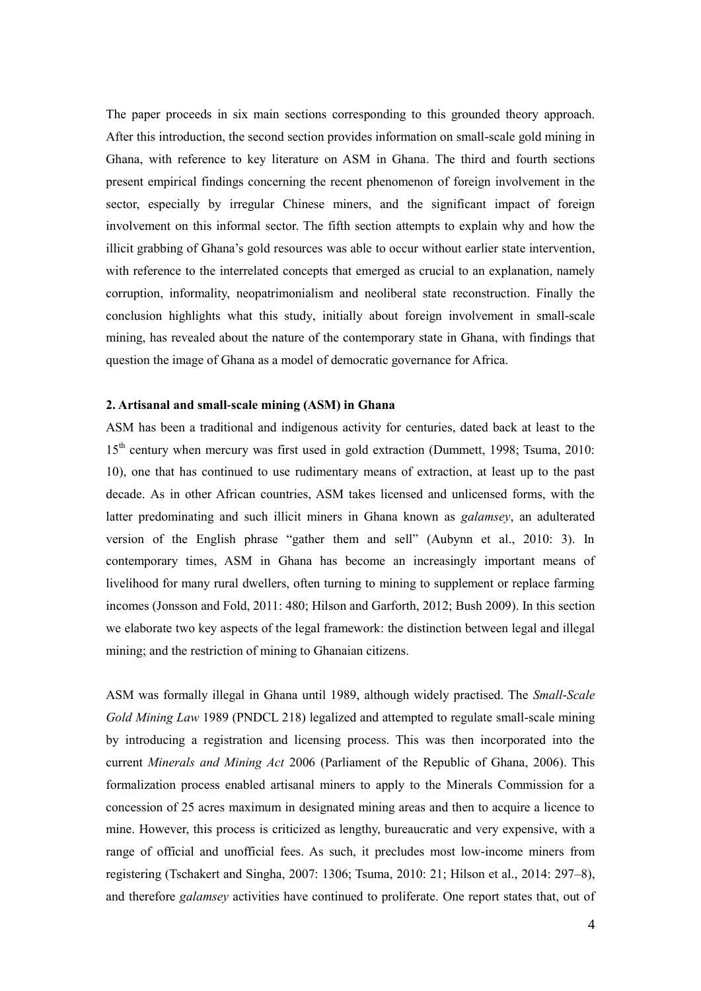The paper proceeds in six main sections corresponding to this grounded theory approach. After this introduction, the second section provides information on small-scale gold mining in Ghana, with reference to key literature on ASM in Ghana. The third and fourth sections present empirical findings concerning the recent phenomenon of foreign involvement in the sector, especially by irregular Chinese miners, and the significant impact of foreign involvement on this informal sector. The fifth section attempts to explain why and how the illicit grabbing of Ghana's gold resources was able to occur without earlier state intervention, with reference to the interrelated concepts that emerged as crucial to an explanation, namely corruption, informality, neopatrimonialism and neoliberal state reconstruction. Finally the conclusion highlights what this study, initially about foreign involvement in small-scale mining, has revealed about the nature of the contemporary state in Ghana, with findings that question the image of Ghana as a model of democratic governance for Africa.

## **2. Artisanal and small-scale mining (ASM) in Ghana**

ASM has been a traditional and indigenous activity for centuries, dated back at least to the 15<sup>th</sup> century when mercury was first used in gold extraction (Dummett, 1998; Tsuma, 2010: 10), one that has continued to use rudimentary means of extraction, at least up to the past decade. As in other African countries, ASM takes licensed and unlicensed forms, with the latter predominating and such illicit miners in Ghana known as *galamsey*, an adulterated version of the English phrase "gather them and sell" (Aubynn et al., 2010: 3). In contemporary times, ASM in Ghana has become an increasingly important means of livelihood for many rural dwellers, often turning to mining to supplement or replace farming incomes (Jonsson and Fold, 2011: 480; Hilson and Garforth, 2012; Bush 2009). In this section we elaborate two key aspects of the legal framework: the distinction between legal and illegal mining; and the restriction of mining to Ghanaian citizens.

ASM was formally illegal in Ghana until 1989, although widely practised. The *Small-Scale Gold Mining Law* 1989 (PNDCL 218) legalized and attempted to regulate small-scale mining by introducing a registration and licensing process. This was then incorporated into the current *Minerals and Mining Act* 2006 (Parliament of the Republic of Ghana, 2006). This formalization process enabled artisanal miners to apply to the Minerals Commission for a concession of 25 acres maximum in designated mining areas and then to acquire a licence to mine. However, this process is criticized as lengthy, bureaucratic and very expensive, with a range of official and unofficial fees. As such, it precludes most low-income miners from registering (Tschakert and Singha, 2007: 1306; Tsuma, 2010: 21; Hilson et al., 2014: 297–8), and therefore *galamsey* activities have continued to proliferate. One report states that, out of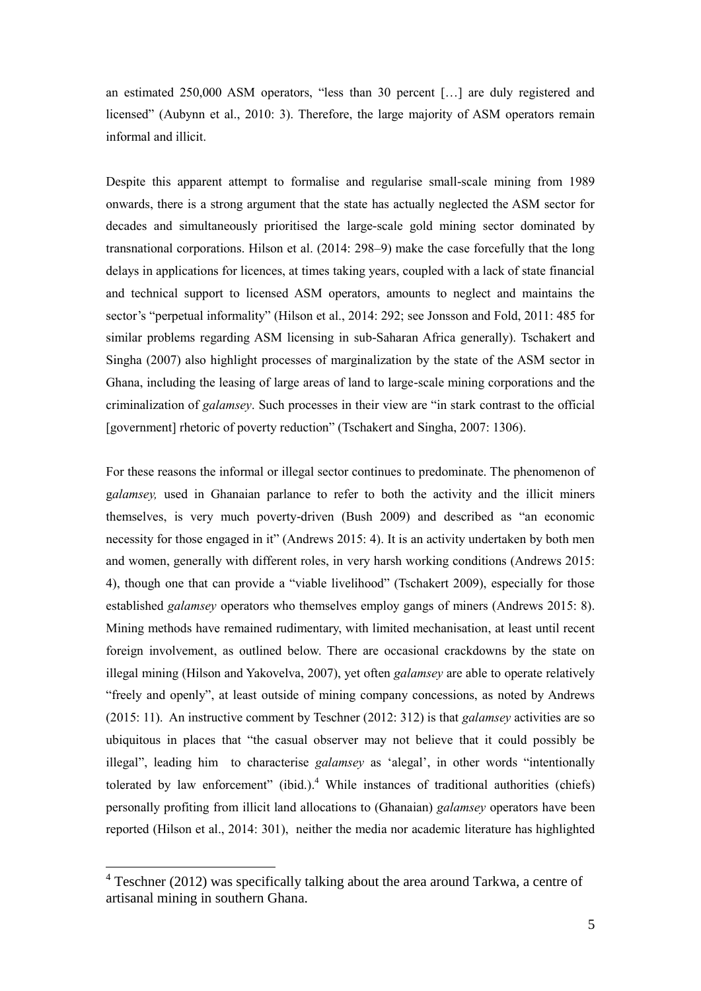an estimated 250,000 ASM operators, "less than 30 percent […] are duly registered and licensed" (Aubynn et al., 2010: 3). Therefore, the large majority of ASM operators remain informal and illicit.

Despite this apparent attempt to formalise and regularise small-scale mining from 1989 onwards, there is a strong argument that the state has actually neglected the ASM sector for decades and simultaneously prioritised the large-scale gold mining sector dominated by transnational corporations. Hilson et al. (2014: 298–9) make the case forcefully that the long delays in applications for licences, at times taking years, coupled with a lack of state financial and technical support to licensed ASM operators, amounts to neglect and maintains the sector's "perpetual informality" (Hilson et al., 2014: 292; see Jonsson and Fold, 2011: 485 for similar problems regarding ASM licensing in sub-Saharan Africa generally). Tschakert and Singha (2007) also highlight processes of marginalization by the state of the ASM sector in Ghana, including the leasing of large areas of land to large-scale mining corporations and the criminalization of *galamsey*. Such processes in their view are "in stark contrast to the official [government] rhetoric of poverty reduction" (Tschakert and Singha, 2007: 1306).

For these reasons the informal or illegal sector continues to predominate. The phenomenon of g*alamsey,* used in Ghanaian parlance to refer to both the activity and the illicit miners themselves, is very much poverty-driven (Bush 2009) and described as "an economic necessity for those engaged in it" (Andrews 2015: 4). It is an activity undertaken by both men and women, generally with different roles, in very harsh working conditions (Andrews 2015: 4), though one that can provide a "viable livelihood" (Tschakert 2009), especially for those established *galamsey* operators who themselves employ gangs of miners (Andrews 2015: 8). Mining methods have remained rudimentary, with limited mechanisation, at least until recent foreign involvement, as outlined below. There are occasional crackdowns by the state on illegal mining (Hilson and Yakovelva, 2007), yet often *galamsey* are able to operate relatively "freely and openly", at least outside of mining company concessions, as noted by Andrews (2015: 11). An instructive comment by Teschner (2012: 312) is that *galamsey* activities are so ubiquitous in places that "the casual observer may not believe that it could possibly be illegal", leading him to characterise *galamsey* as 'alegal', in other words "intentionally tolerated by law enforcement" (ibid.).<sup>4</sup> While instances of traditional authorities (chiefs) personally profiting from illicit land allocations to (Ghanaian) *galamsey* operators have been reported (Hilson et al., 2014: 301), neither the media nor academic literature has highlighted

<sup>&</sup>lt;sup>4</sup> Teschner (2012) was specifically talking about the area around Tarkwa, a centre of artisanal mining in southern Ghana.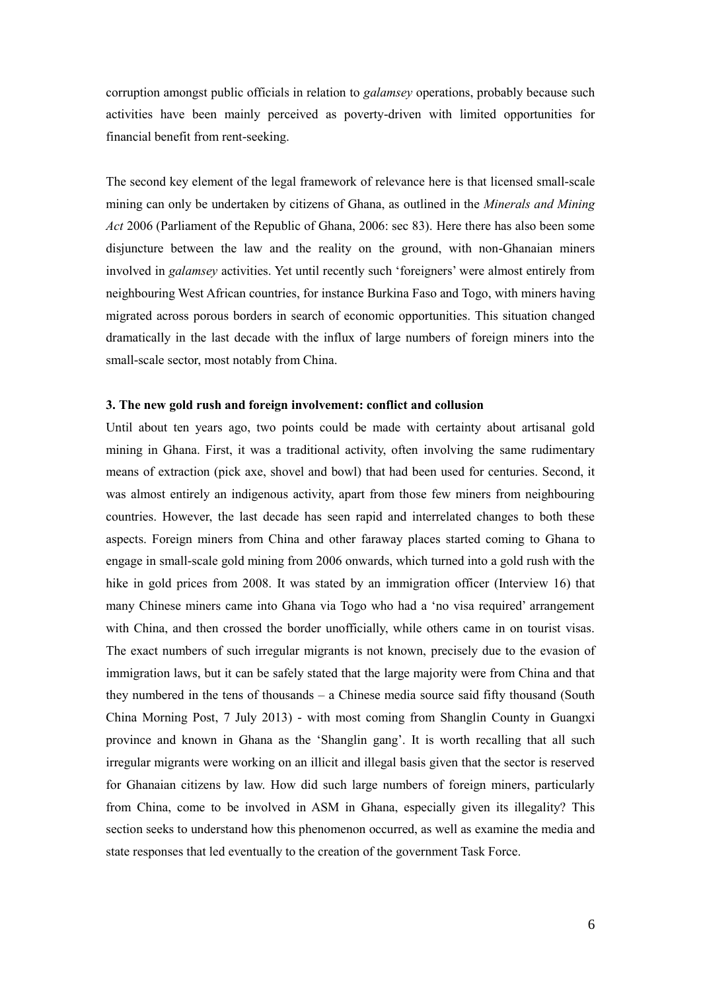corruption amongst public officials in relation to *galamsey* operations, probably because such activities have been mainly perceived as poverty-driven with limited opportunities for financial benefit from rent-seeking.

The second key element of the legal framework of relevance here is that licensed small-scale mining can only be undertaken by citizens of Ghana, as outlined in the *Minerals and Mining Act* 2006 (Parliament of the Republic of Ghana, 2006: sec 83). Here there has also been some disjuncture between the law and the reality on the ground, with non-Ghanaian miners involved in *galamsey* activities. Yet until recently such 'foreigners' were almost entirely from neighbouring West African countries, for instance Burkina Faso and Togo, with miners having migrated across porous borders in search of economic opportunities. This situation changed dramatically in the last decade with the influx of large numbers of foreign miners into the small-scale sector, most notably from China.

## **3. The new gold rush and foreign involvement: conflict and collusion**

Until about ten years ago, two points could be made with certainty about artisanal gold mining in Ghana. First, it was a traditional activity, often involving the same rudimentary means of extraction (pick axe, shovel and bowl) that had been used for centuries. Second, it was almost entirely an indigenous activity, apart from those few miners from neighbouring countries. However, the last decade has seen rapid and interrelated changes to both these aspects. Foreign miners from China and other faraway places started coming to Ghana to engage in small-scale gold mining from 2006 onwards, which turned into a gold rush with the hike in gold prices from 2008. It was stated by an immigration officer (Interview 16) that many Chinese miners came into Ghana via Togo who had a 'no visa required' arrangement with China, and then crossed the border unofficially, while others came in on tourist visas. The exact numbers of such irregular migrants is not known, precisely due to the evasion of immigration laws, but it can be safely stated that the large majority were from China and that they numbered in the tens of thousands – a Chinese media source said fifty thousand (South China Morning Post, 7 July 2013) - with most coming from Shanglin County in Guangxi province and known in Ghana as the 'Shanglin gang'. It is worth recalling that all such irregular migrants were working on an illicit and illegal basis given that the sector is reserved for Ghanaian citizens by law. How did such large numbers of foreign miners, particularly from China, come to be involved in ASM in Ghana, especially given its illegality? This section seeks to understand how this phenomenon occurred, as well as examine the media and state responses that led eventually to the creation of the government Task Force.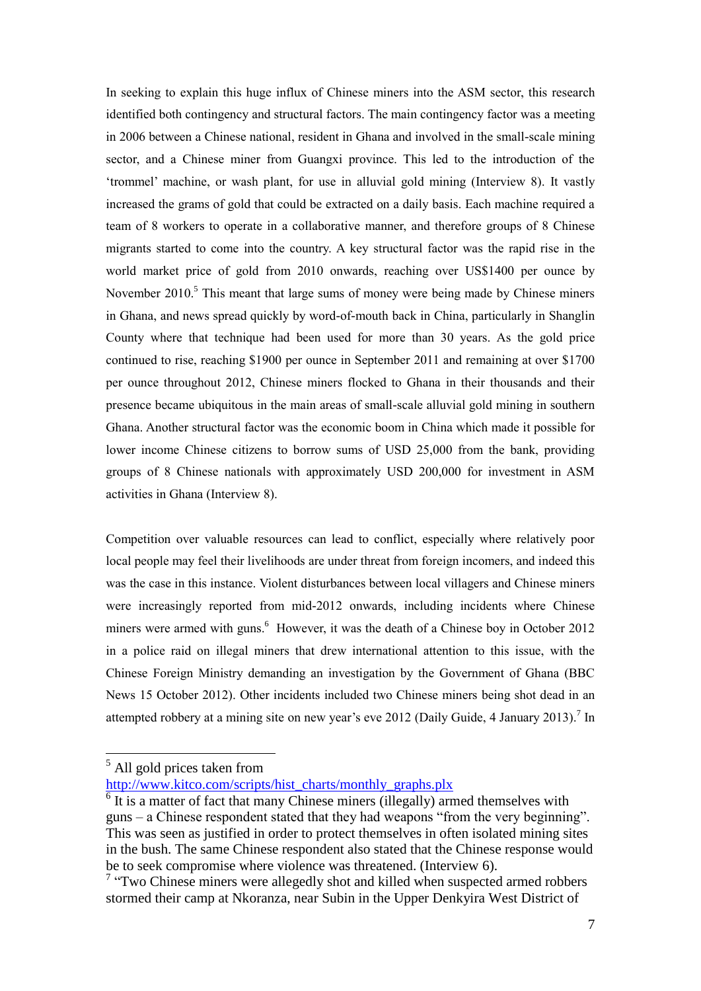In seeking to explain this huge influx of Chinese miners into the ASM sector, this research identified both contingency and structural factors. The main contingency factor was a meeting in 2006 between a Chinese national, resident in Ghana and involved in the small-scale mining sector, and a Chinese miner from Guangxi province. This led to the introduction of the 'trommel' machine, or wash plant, for use in alluvial gold mining (Interview 8). It vastly increased the grams of gold that could be extracted on a daily basis. Each machine required a team of 8 workers to operate in a collaborative manner, and therefore groups of 8 Chinese migrants started to come into the country. A key structural factor was the rapid rise in the world market price of gold from 2010 onwards, reaching over US\$1400 per ounce by November 2010.<sup>5</sup> This meant that large sums of money were being made by Chinese miners in Ghana, and news spread quickly by word-of-mouth back in China, particularly in Shanglin County where that technique had been used for more than 30 years. As the gold price continued to rise, reaching \$1900 per ounce in September 2011 and remaining at over \$1700 per ounce throughout 2012, Chinese miners flocked to Ghana in their thousands and their presence became ubiquitous in the main areas of small-scale alluvial gold mining in southern Ghana. Another structural factor was the economic boom in China which made it possible for lower income Chinese citizens to borrow sums of USD 25,000 from the bank, providing groups of 8 Chinese nationals with approximately USD 200,000 for investment in ASM activities in Ghana (Interview 8).

Competition over valuable resources can lead to conflict, especially where relatively poor local people may feel their livelihoods are under threat from foreign incomers, and indeed this was the case in this instance. Violent disturbances between local villagers and Chinese miners were increasingly reported from mid-2012 onwards, including incidents where Chinese miners were armed with guns.<sup>6</sup> However, it was the death of a Chinese boy in October 2012 in a police raid on illegal miners that drew international attention to this issue, with the Chinese Foreign Ministry demanding an investigation by the Government of Ghana (BBC News 15 October 2012). Other incidents included two Chinese miners being shot dead in an attempted robbery at a mining site on new year's eve 2012 (Daily Guide, 4 January 2013).<sup>7</sup> In

<u>.</u>

<sup>5</sup> All gold prices taken from

[http://www.kitco.com/scripts/hist\\_charts/monthly\\_graphs.plx](http://www.kitco.com/scripts/hist_charts/monthly_graphs.plx)

 $\overline{6}$  It is a matter of fact that many Chinese miners (illegally) armed themselves with guns – a Chinese respondent stated that they had weapons "from the very beginning". This was seen as justified in order to protect themselves in often isolated mining sites in the bush. The same Chinese respondent also stated that the Chinese response would be to seek compromise where violence was threatened. (Interview 6).

<sup>&</sup>lt;sup>7</sup> "Two Chinese miners were allegedly shot and killed when suspected armed robbers stormed their camp at Nkoranza, near Subin in the Upper Denkyira West District of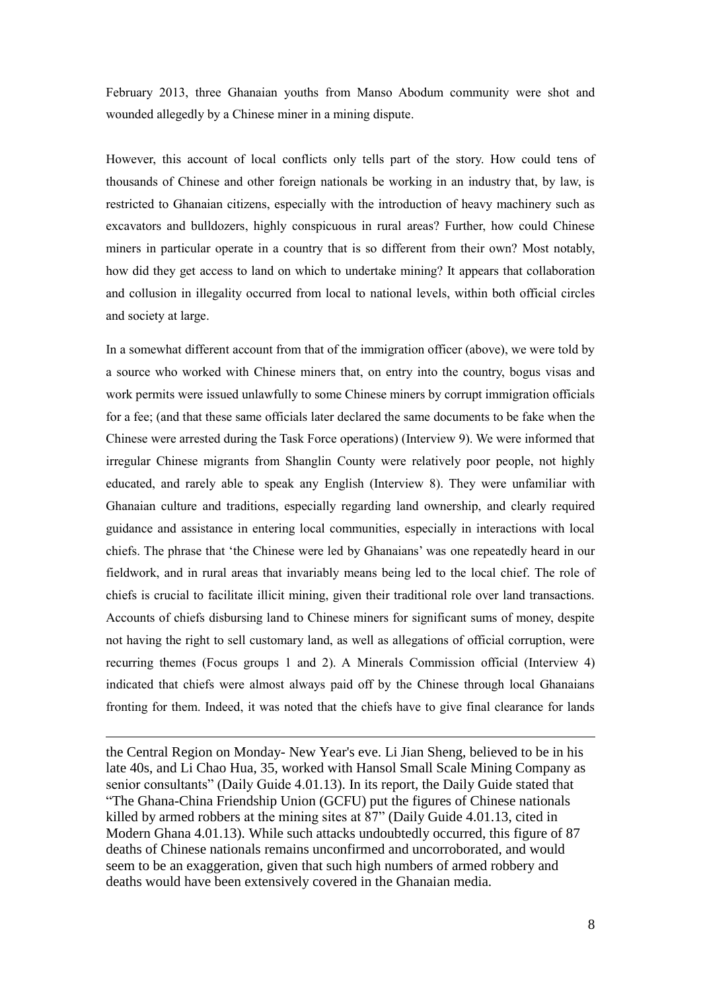February 2013, three Ghanaian youths from Manso Abodum community were shot and wounded allegedly by a Chinese miner in a mining dispute.

However, this account of local conflicts only tells part of the story. How could tens of thousands of Chinese and other foreign nationals be working in an industry that, by law, is restricted to Ghanaian citizens, especially with the introduction of heavy machinery such as excavators and bulldozers, highly conspicuous in rural areas? Further, how could Chinese miners in particular operate in a country that is so different from their own? Most notably, how did they get access to land on which to undertake mining? It appears that collaboration and collusion in illegality occurred from local to national levels, within both official circles and society at large.

In a somewhat different account from that of the immigration officer (above), we were told by a source who worked with Chinese miners that, on entry into the country, bogus visas and work permits were issued unlawfully to some Chinese miners by corrupt immigration officials for a fee; (and that these same officials later declared the same documents to be fake when the Chinese were arrested during the Task Force operations) (Interview 9). We were informed that irregular Chinese migrants from Shanglin County were relatively poor people, not highly educated, and rarely able to speak any English (Interview 8). They were unfamiliar with Ghanaian culture and traditions, especially regarding land ownership, and clearly required guidance and assistance in entering local communities, especially in interactions with local chiefs. The phrase that 'the Chinese were led by Ghanaians' was one repeatedly heard in our fieldwork, and in rural areas that invariably means being led to the local chief. The role of chiefs is crucial to facilitate illicit mining, given their traditional role over land transactions. Accounts of chiefs disbursing land to Chinese miners for significant sums of money, despite not having the right to sell customary land, as well as allegations of official corruption, were recurring themes (Focus groups 1 and 2). A Minerals Commission official (Interview 4) indicated that chiefs were almost always paid off by the Chinese through local Ghanaians fronting for them. Indeed, it was noted that the chiefs have to give final clearance for lands

the Central Region on Monday- New Year's eve. Li Jian Sheng, believed to be in his late 40s, and Li Chao Hua, 35, worked with Hansol Small Scale Mining Company as senior consultants" (Daily Guide 4.01.13). In its report, the Daily Guide stated that "The Ghana-China Friendship Union (GCFU) put the figures of Chinese nationals killed by armed robbers at the mining sites at 87" (Daily Guide 4.01.13, cited in Modern Ghana 4.01.13). While such attacks undoubtedly occurred, this figure of 87 deaths of Chinese nationals remains unconfirmed and uncorroborated, and would seem to be an exaggeration, given that such high numbers of armed robbery and deaths would have been extensively covered in the Ghanaian media.

<u>.</u>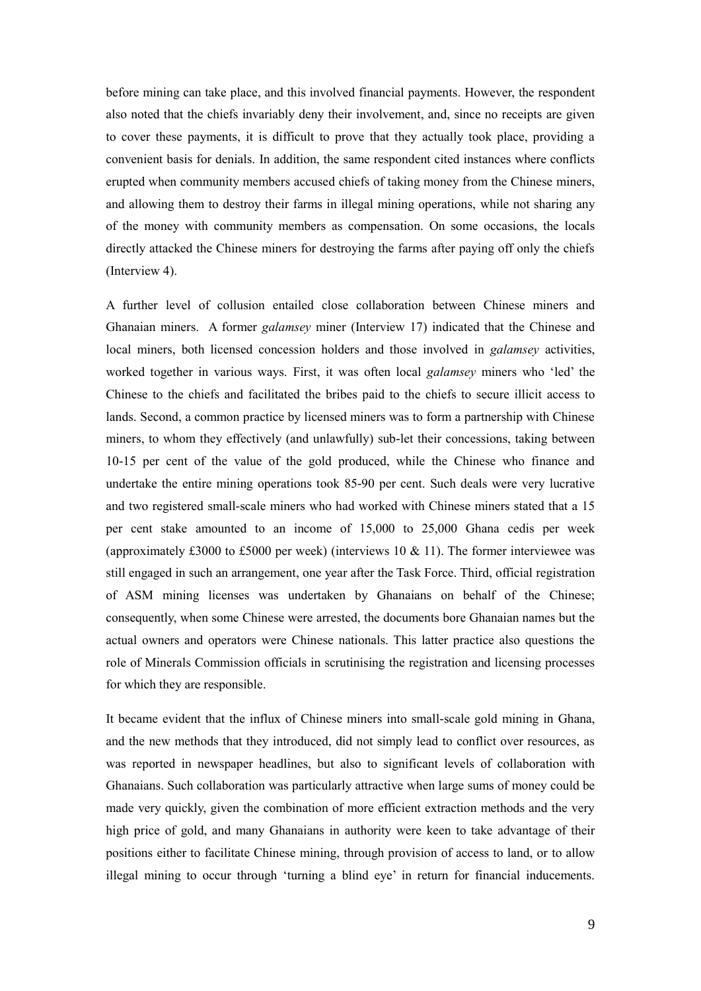before mining can take place, and this involved financial payments. However, the respondent also noted that the chiefs invariably deny their involvement, and, since no receipts are given to cover these payments, it is difficult to prove that they actually took place, providing a convenient basis for denials. In addition, the same respondent cited instances where conflicts erupted when community members accused chiefs of taking money from the Chinese miners, and allowing them to destroy their farms in illegal mining operations, while not sharing any of the money with community members as compensation. On some occasions, the locals directly attacked the Chinese miners for destroying the farms after paying off only the chiefs (Interview 4).

A further level of collusion entailed close collaboration between Chinese miners and Ghanaian miners. A former *galamsey* miner (Interview 17) indicated that the Chinese and local miners, both licensed concession holders and those involved in *galamsey* activities, worked together in various ways. First, it was often local *galamsey* miners who 'led' the Chinese to the chiefs and facilitated the bribes paid to the chiefs to secure illicit access to lands. Second, a common practice by licensed miners was to form a partnership with Chinese miners, to whom they effectively (and unlawfully) sub-let their concessions, taking between 10-15 per cent of the value of the gold produced, while the Chinese who finance and undertake the entire mining operations took 85-90 per cent. Such deals were very lucrative and two registered small-scale miners who had worked with Chinese miners stated that a 15 per cent stake amounted to an income of 15,000 to 25,000 Ghana cedis per week (approximately £3000 to £5000 per week) (interviews 10 & 11). The former interviewee was still engaged in such an arrangement, one year after the Task Force. Third, official registration of ASM mining licenses was undertaken by Ghanaians on behalf of the Chinese; consequently, when some Chinese were arrested, the documents bore Ghanaian names but the actual owners and operators were Chinese nationals. This latter practice also questions the role of Minerals Commission officials in scrutinising the registration and licensing processes for which they are responsible.

It became evident that the influx of Chinese miners into small-scale gold mining in Ghana, and the new methods that they introduced, did not simply lead to conflict over resources, as was reported in newspaper headlines, but also to significant levels of collaboration with Ghanaians. Such collaboration was particularly attractive when large sums of money could be made very quickly, given the combination of more efficient extraction methods and the very high price of gold, and many Ghanaians in authority were keen to take advantage of their positions either to facilitate Chinese mining, through provision of access to land, or to allow illegal mining to occur through 'turning a blind eye' in return for financial inducements.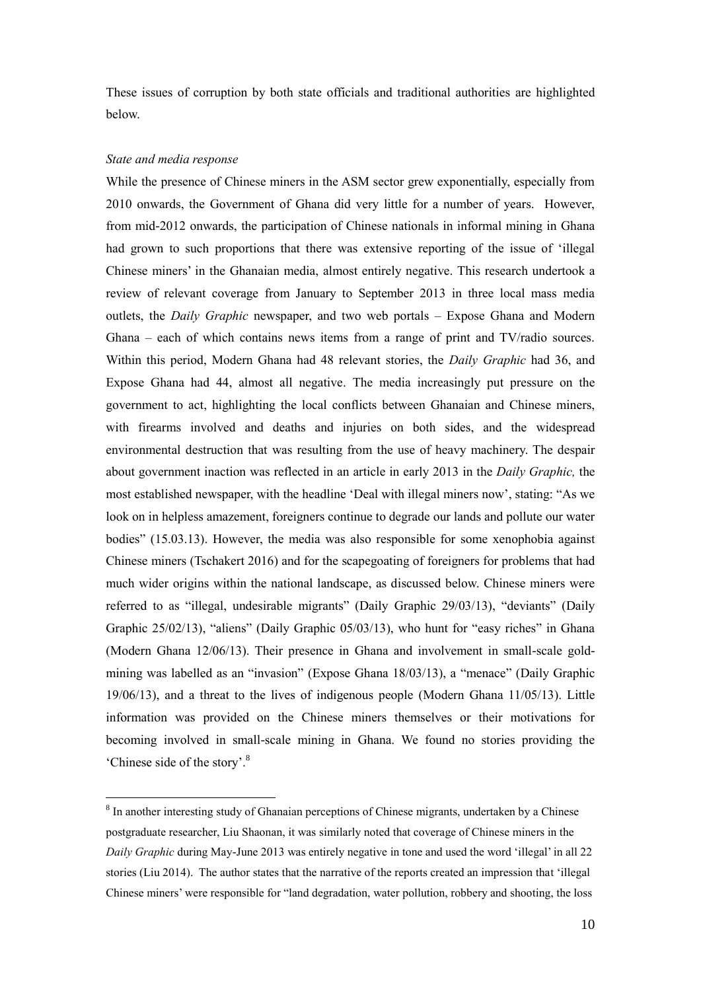These issues of corruption by both state officials and traditional authorities are highlighted below.

## *State and media response*

<u>.</u>

While the presence of Chinese miners in the ASM sector grew exponentially, especially from 2010 onwards, the Government of Ghana did very little for a number of years. However, from mid-2012 onwards, the participation of Chinese nationals in informal mining in Ghana had grown to such proportions that there was extensive reporting of the issue of 'illegal Chinese miners' in the Ghanaian media, almost entirely negative. This research undertook a review of relevant coverage from January to September 2013 in three local mass media outlets, the *Daily Graphic* newspaper, and two web portals – Expose Ghana and Modern Ghana – each of which contains news items from a range of print and TV/radio sources. Within this period, Modern Ghana had 48 relevant stories, the *Daily Graphic* had 36, and Expose Ghana had 44, almost all negative. The media increasingly put pressure on the government to act, highlighting the local conflicts between Ghanaian and Chinese miners, with firearms involved and deaths and injuries on both sides, and the widespread environmental destruction that was resulting from the use of heavy machinery. The despair about government inaction was reflected in an article in early 2013 in the *Daily Graphic,* the most established newspaper, with the headline 'Deal with illegal miners now', stating: "As we look on in helpless amazement, foreigners continue to degrade our lands and pollute our water bodies" (15.03.13). However, the media was also responsible for some xenophobia against Chinese miners (Tschakert 2016) and for the scapegoating of foreigners for problems that had much wider origins within the national landscape, as discussed below. Chinese miners were referred to as "illegal, undesirable migrants" (Daily Graphic 29/03/13), "deviants" (Daily Graphic 25/02/13), "aliens" (Daily Graphic 05/03/13), who hunt for "easy riches" in Ghana (Modern Ghana 12/06/13). Their presence in Ghana and involvement in small-scale goldmining was labelled as an "invasion" (Expose Ghana 18/03/13), a "menace" (Daily Graphic 19/06/13), and a threat to the lives of indigenous people (Modern Ghana 11/05/13). Little information was provided on the Chinese miners themselves or their motivations for becoming involved in small-scale mining in Ghana. We found no stories providing the 'Chinese side of the story'.<sup>8</sup>

<sup>&</sup>lt;sup>8</sup> In another interesting study of Ghanaian perceptions of Chinese migrants, undertaken by a Chinese postgraduate researcher, Liu Shaonan, it was similarly noted that coverage of Chinese miners in the *Daily Graphic* during May-June 2013 was entirely negative in tone and used the word 'illegal' in all 22 stories (Liu 2014). The author states that the narrative of the reports created an impression that 'illegal Chinese miners' were responsible for "land degradation, water pollution, robbery and shooting, the loss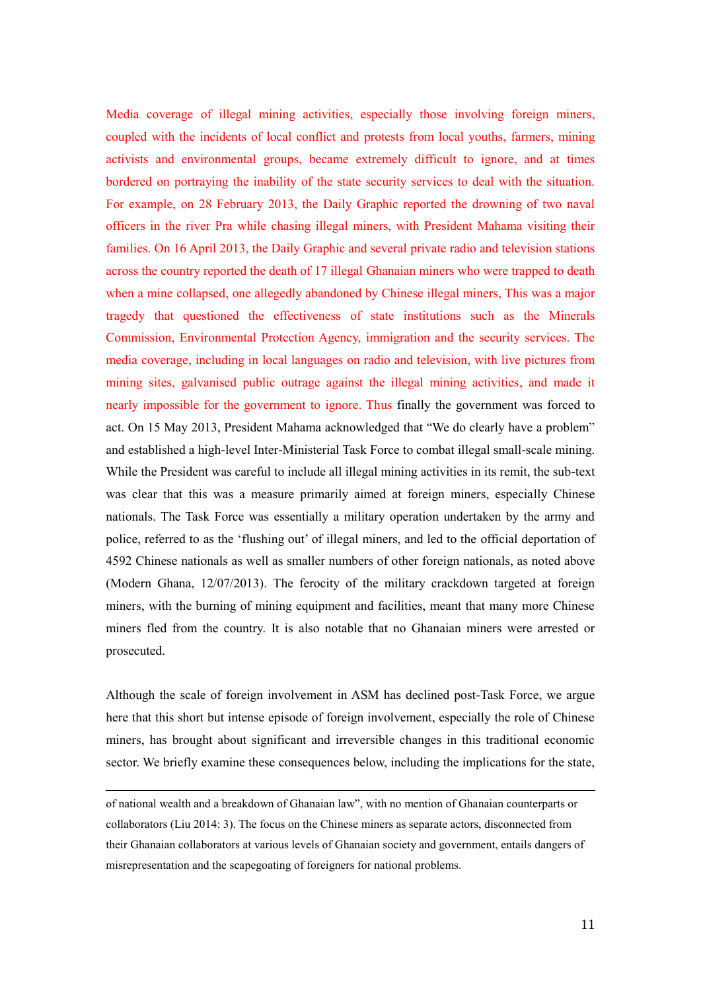Media coverage of illegal mining activities, especially those involving foreign miners, coupled with the incidents of local conflict and protests from local youths, farmers, mining activists and environmental groups, became extremely difficult to ignore, and at times bordered on portraying the inability of the state security services to deal with the situation. For example, on 28 February 2013, the Daily Graphic reported the drowning of two naval officers in the river Pra while chasing illegal miners, with President Mahama visiting their families. On 16 April 2013, the Daily Graphic and several private radio and television stations across the country reported the death of 17 illegal Ghanaian miners who were trapped to death when a mine collapsed, one allegedly abandoned by Chinese illegal miners, This was a major tragedy that questioned the effectiveness of state institutions such as the Minerals Commission, Environmental Protection Agency, immigration and the security services. The media coverage, including in local languages on radio and television, with live pictures from mining sites, galvanised public outrage against the illegal mining activities, and made it nearly impossible for the government to ignore. Thus finally the government was forced to act. On 15 May 2013, President Mahama acknowledged that "We do clearly have a problem" and established a high-level Inter-Ministerial Task Force to combat illegal small-scale mining. While the President was careful to include all illegal mining activities in its remit, the sub-text was clear that this was a measure primarily aimed at foreign miners, especially Chinese nationals. The Task Force was essentially a military operation undertaken by the army and police, referred to as the 'flushing out' of illegal miners, and led to the official deportation of 4592 Chinese nationals as well as smaller numbers of other foreign nationals, as noted above (Modern Ghana, 12/07/2013). The ferocity of the military crackdown targeted at foreign miners, with the burning of mining equipment and facilities, meant that many more Chinese miners fled from the country. It is also notable that no Ghanaian miners were arrested or prosecuted.

Although the scale of foreign involvement in ASM has declined post-Task Force, we argue here that this short but intense episode of foreign involvement, especially the role of Chinese miners, has brought about significant and irreversible changes in this traditional economic sector. We briefly examine these consequences below, including the implications for the state,

of national wealth and a breakdown of Ghanaian law", with no mention of Ghanaian counterparts or collaborators (Liu 2014: 3). The focus on the Chinese miners as separate actors, disconnected from their Ghanaian collaborators at various levels of Ghanaian society and government, entails dangers of misrepresentation and the scapegoating of foreigners for national problems.

<u>.</u>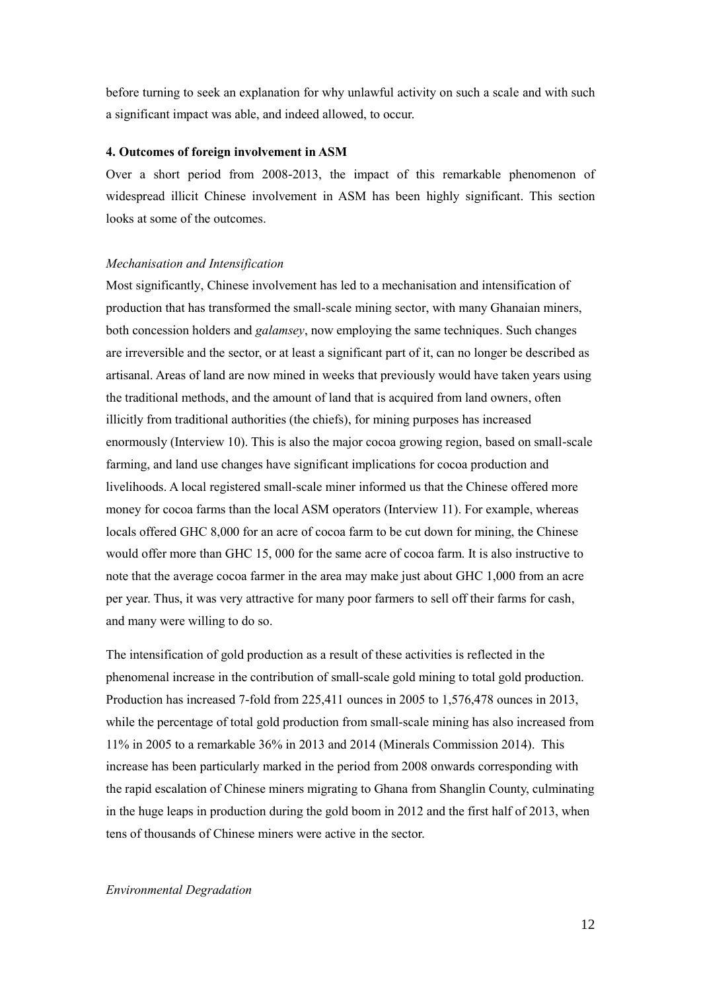before turning to seek an explanation for why unlawful activity on such a scale and with such a significant impact was able, and indeed allowed, to occur.

### **4. Outcomes of foreign involvement in ASM**

Over a short period from 2008-2013, the impact of this remarkable phenomenon of widespread illicit Chinese involvement in ASM has been highly significant. This section looks at some of the outcomes.

#### *Mechanisation and Intensification*

Most significantly, Chinese involvement has led to a mechanisation and intensification of production that has transformed the small-scale mining sector, with many Ghanaian miners, both concession holders and *galamsey*, now employing the same techniques. Such changes are irreversible and the sector, or at least a significant part of it, can no longer be described as artisanal. Areas of land are now mined in weeks that previously would have taken years using the traditional methods, and the amount of land that is acquired from land owners, often illicitly from traditional authorities (the chiefs), for mining purposes has increased enormously (Interview 10). This is also the major cocoa growing region, based on small-scale farming, and land use changes have significant implications for cocoa production and livelihoods. A local registered small-scale miner informed us that the Chinese offered more money for cocoa farms than the local ASM operators (Interview 11). For example, whereas locals offered GHC 8,000 for an acre of cocoa farm to be cut down for mining, the Chinese would offer more than GHC 15, 000 for the same acre of cocoa farm. It is also instructive to note that the average cocoa farmer in the area may make just about GHC 1,000 from an acre per year. Thus, it was very attractive for many poor farmers to sell off their farms for cash, and many were willing to do so.

The intensification of gold production as a result of these activities is reflected in the phenomenal increase in the contribution of small-scale gold mining to total gold production. Production has increased 7-fold from 225,411 ounces in 2005 to 1,576,478 ounces in 2013, while the percentage of total gold production from small-scale mining has also increased from 11% in 2005 to a remarkable 36% in 2013 and 2014 (Minerals Commission 2014). This increase has been particularly marked in the period from 2008 onwards corresponding with the rapid escalation of Chinese miners migrating to Ghana from Shanglin County, culminating in the huge leaps in production during the gold boom in 2012 and the first half of 2013, when tens of thousands of Chinese miners were active in the sector.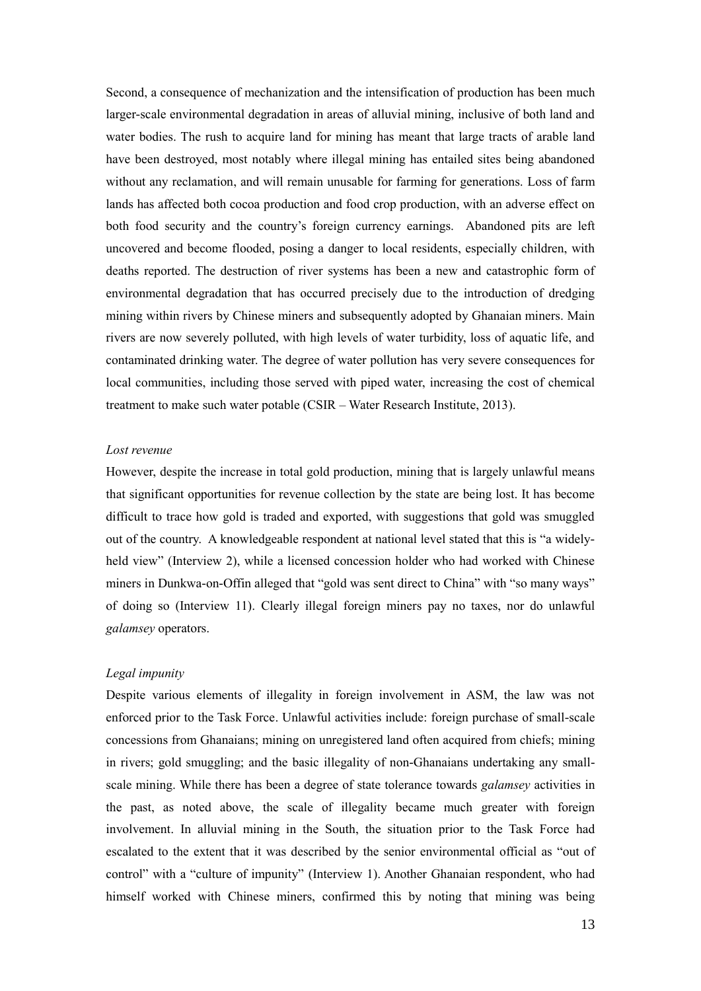Second, a consequence of mechanization and the intensification of production has been much larger-scale environmental degradation in areas of alluvial mining, inclusive of both land and water bodies. The rush to acquire land for mining has meant that large tracts of arable land have been destroyed, most notably where illegal mining has entailed sites being abandoned without any reclamation, and will remain unusable for farming for generations. Loss of farm lands has affected both cocoa production and food crop production, with an adverse effect on both food security and the country's foreign currency earnings. Abandoned pits are left uncovered and become flooded, posing a danger to local residents, especially children, with deaths reported. The destruction of river systems has been a new and catastrophic form of environmental degradation that has occurred precisely due to the introduction of dredging mining within rivers by Chinese miners and subsequently adopted by Ghanaian miners. Main rivers are now severely polluted, with high levels of water turbidity, loss of aquatic life, and contaminated drinking water. The degree of water pollution has very severe consequences for local communities, including those served with piped water, increasing the cost of chemical treatment to make such water potable (CSIR – Water Research Institute, 2013).

#### *Lost revenue*

However, despite the increase in total gold production, mining that is largely unlawful means that significant opportunities for revenue collection by the state are being lost. It has become difficult to trace how gold is traded and exported, with suggestions that gold was smuggled out of the country. A knowledgeable respondent at national level stated that this is "a widelyheld view" (Interview 2), while a licensed concession holder who had worked with Chinese miners in Dunkwa-on-Offin alleged that "gold was sent direct to China" with "so many ways" of doing so (Interview 11). Clearly illegal foreign miners pay no taxes, nor do unlawful *galamsey* operators.

#### *Legal impunity*

Despite various elements of illegality in foreign involvement in ASM, the law was not enforced prior to the Task Force. Unlawful activities include: foreign purchase of small-scale concessions from Ghanaians; mining on unregistered land often acquired from chiefs; mining in rivers; gold smuggling; and the basic illegality of non-Ghanaians undertaking any smallscale mining. While there has been a degree of state tolerance towards *galamsey* activities in the past, as noted above, the scale of illegality became much greater with foreign involvement. In alluvial mining in the South, the situation prior to the Task Force had escalated to the extent that it was described by the senior environmental official as "out of control" with a "culture of impunity" (Interview 1). Another Ghanaian respondent, who had himself worked with Chinese miners, confirmed this by noting that mining was being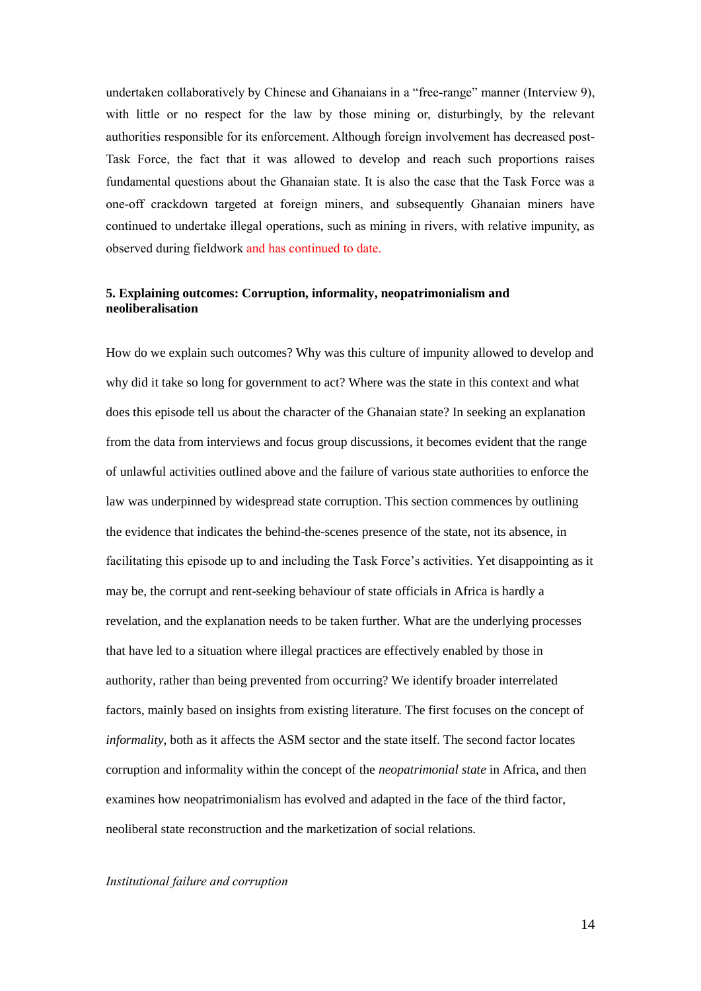undertaken collaboratively by Chinese and Ghanaians in a "free-range" manner (Interview 9), with little or no respect for the law by those mining or, disturbingly, by the relevant authorities responsible for its enforcement. Although foreign involvement has decreased post-Task Force, the fact that it was allowed to develop and reach such proportions raises fundamental questions about the Ghanaian state. It is also the case that the Task Force was a one-off crackdown targeted at foreign miners, and subsequently Ghanaian miners have continued to undertake illegal operations, such as mining in rivers, with relative impunity, as observed during fieldwork and has continued to date.

# **5. Explaining outcomes: Corruption, informality, neopatrimonialism and neoliberalisation**

How do we explain such outcomes? Why was this culture of impunity allowed to develop and why did it take so long for government to act? Where was the state in this context and what does this episode tell us about the character of the Ghanaian state? In seeking an explanation from the data from interviews and focus group discussions, it becomes evident that the range of unlawful activities outlined above and the failure of various state authorities to enforce the law was underpinned by widespread state corruption. This section commences by outlining the evidence that indicates the behind-the-scenes presence of the state, not its absence, in facilitating this episode up to and including the Task Force's activities. Yet disappointing as it may be, the corrupt and rent-seeking behaviour of state officials in Africa is hardly a revelation, and the explanation needs to be taken further. What are the underlying processes that have led to a situation where illegal practices are effectively enabled by those in authority, rather than being prevented from occurring? We identify broader interrelated factors, mainly based on insights from existing literature. The first focuses on the concept of *informality*, both as it affects the ASM sector and the state itself. The second factor locates corruption and informality within the concept of the *neopatrimonial state* in Africa, and then examines how neopatrimonialism has evolved and adapted in the face of the third factor, neoliberal state reconstruction and the marketization of social relations.

## *Institutional failure and corruption*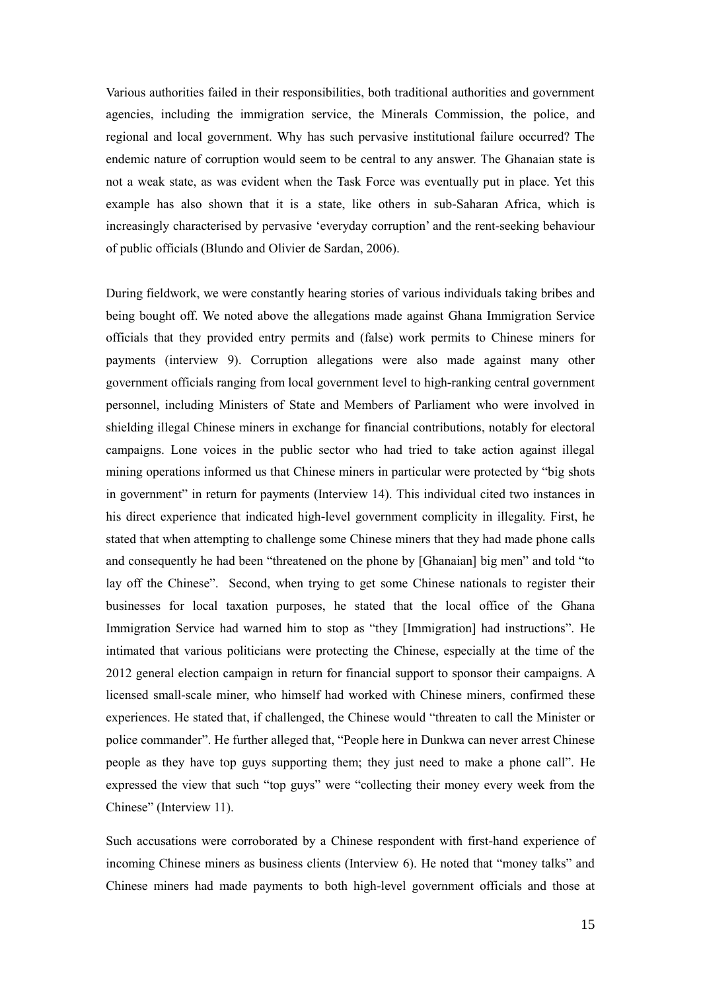Various authorities failed in their responsibilities, both traditional authorities and government agencies, including the immigration service, the Minerals Commission, the police, and regional and local government. Why has such pervasive institutional failure occurred? The endemic nature of corruption would seem to be central to any answer. The Ghanaian state is not a weak state, as was evident when the Task Force was eventually put in place. Yet this example has also shown that it is a state, like others in sub-Saharan Africa, which is increasingly characterised by pervasive 'everyday corruption' and the rent-seeking behaviour of public officials (Blundo and Olivier de Sardan, 2006).

During fieldwork, we were constantly hearing stories of various individuals taking bribes and being bought off. We noted above the allegations made against Ghana Immigration Service officials that they provided entry permits and (false) work permits to Chinese miners for payments (interview 9). Corruption allegations were also made against many other government officials ranging from local government level to high-ranking central government personnel, including Ministers of State and Members of Parliament who were involved in shielding illegal Chinese miners in exchange for financial contributions, notably for electoral campaigns. Lone voices in the public sector who had tried to take action against illegal mining operations informed us that Chinese miners in particular were protected by "big shots in government" in return for payments (Interview 14). This individual cited two instances in his direct experience that indicated high-level government complicity in illegality. First, he stated that when attempting to challenge some Chinese miners that they had made phone calls and consequently he had been "threatened on the phone by [Ghanaian] big men" and told "to lay off the Chinese". Second, when trying to get some Chinese nationals to register their businesses for local taxation purposes, he stated that the local office of the Ghana Immigration Service had warned him to stop as "they [Immigration] had instructions". He intimated that various politicians were protecting the Chinese, especially at the time of the 2012 general election campaign in return for financial support to sponsor their campaigns. A licensed small-scale miner, who himself had worked with Chinese miners, confirmed these experiences. He stated that, if challenged, the Chinese would "threaten to call the Minister or police commander". He further alleged that, "People here in Dunkwa can never arrest Chinese people as they have top guys supporting them; they just need to make a phone call". He expressed the view that such "top guys" were "collecting their money every week from the Chinese" (Interview 11).

Such accusations were corroborated by a Chinese respondent with first-hand experience of incoming Chinese miners as business clients (Interview 6). He noted that "money talks" and Chinese miners had made payments to both high-level government officials and those at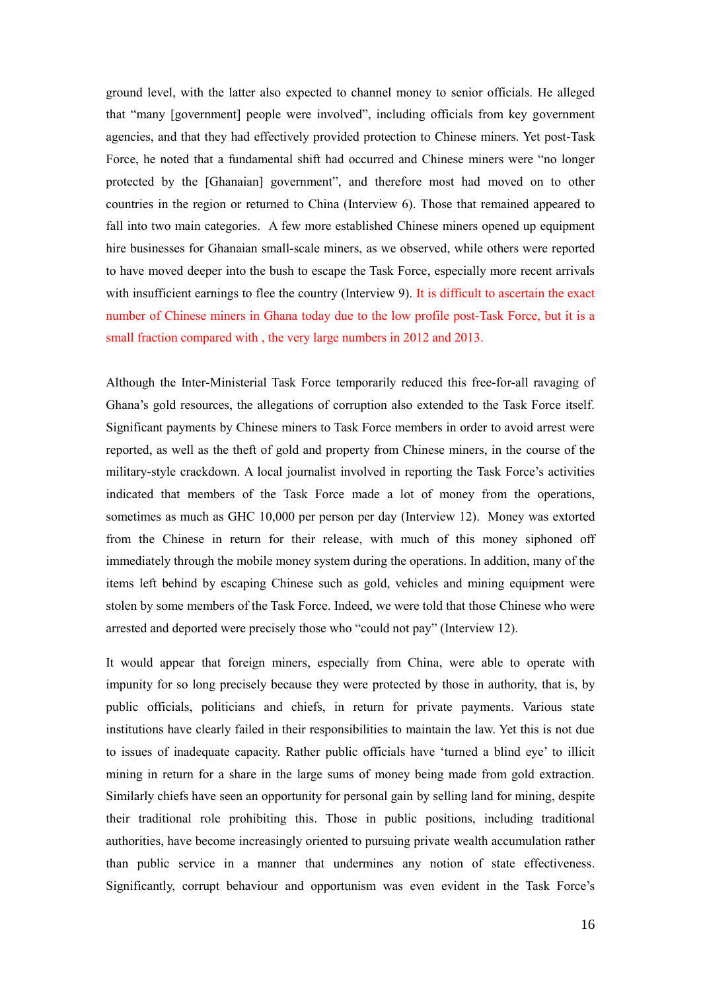ground level, with the latter also expected to channel money to senior officials. He alleged that "many [government] people were involved", including officials from key government agencies, and that they had effectively provided protection to Chinese miners. Yet post-Task Force, he noted that a fundamental shift had occurred and Chinese miners were "no longer protected by the [Ghanaian] government", and therefore most had moved on to other countries in the region or returned to China (Interview 6). Those that remained appeared to fall into two main categories. A few more established Chinese miners opened up equipment hire businesses for Ghanaian small-scale miners, as we observed, while others were reported to have moved deeper into the bush to escape the Task Force, especially more recent arrivals with insufficient earnings to flee the country (Interview 9). It is difficult to ascertain the exact number of Chinese miners in Ghana today due to the low profile post-Task Force, but it is a small fraction compared with , the very large numbers in 2012 and 2013.

Although the Inter-Ministerial Task Force temporarily reduced this free-for-all ravaging of Ghana's gold resources, the allegations of corruption also extended to the Task Force itself. Significant payments by Chinese miners to Task Force members in order to avoid arrest were reported, as well as the theft of gold and property from Chinese miners, in the course of the military-style crackdown. A local journalist involved in reporting the Task Force's activities indicated that members of the Task Force made a lot of money from the operations, sometimes as much as GHC 10,000 per person per day (Interview 12). Money was extorted from the Chinese in return for their release, with much of this money siphoned off immediately through the mobile money system during the operations. In addition, many of the items left behind by escaping Chinese such as gold, vehicles and mining equipment were stolen by some members of the Task Force. Indeed, we were told that those Chinese who were arrested and deported were precisely those who "could not pay" (Interview 12).

It would appear that foreign miners, especially from China, were able to operate with impunity for so long precisely because they were protected by those in authority, that is, by public officials, politicians and chiefs, in return for private payments. Various state institutions have clearly failed in their responsibilities to maintain the law. Yet this is not due to issues of inadequate capacity. Rather public officials have 'turned a blind eye' to illicit mining in return for a share in the large sums of money being made from gold extraction. Similarly chiefs have seen an opportunity for personal gain by selling land for mining, despite their traditional role prohibiting this. Those in public positions, including traditional authorities, have become increasingly oriented to pursuing private wealth accumulation rather than public service in a manner that undermines any notion of state effectiveness. Significantly, corrupt behaviour and opportunism was even evident in the Task Force's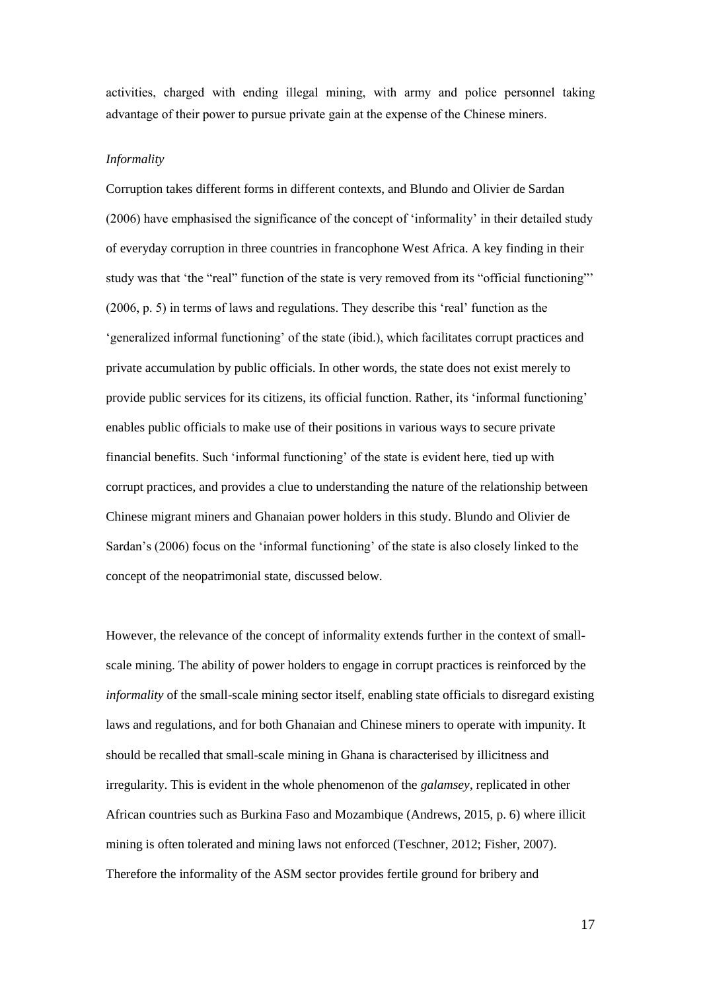activities, charged with ending illegal mining, with army and police personnel taking advantage of their power to pursue private gain at the expense of the Chinese miners.

#### *Informality*

Corruption takes different forms in different contexts, and Blundo and Olivier de Sardan (2006) have emphasised the significance of the concept of 'informality' in their detailed study of everyday corruption in three countries in francophone West Africa. A key finding in their study was that 'the "real" function of the state is very removed from its "official functioning"' (2006, p. 5) in terms of laws and regulations. They describe this 'real' function as the 'generalized informal functioning' of the state (ibid.), which facilitates corrupt practices and private accumulation by public officials. In other words, the state does not exist merely to provide public services for its citizens, its official function. Rather, its 'informal functioning' enables public officials to make use of their positions in various ways to secure private financial benefits. Such 'informal functioning' of the state is evident here, tied up with corrupt practices, and provides a clue to understanding the nature of the relationship between Chinese migrant miners and Ghanaian power holders in this study. Blundo and Olivier de Sardan's (2006) focus on the 'informal functioning' of the state is also closely linked to the concept of the neopatrimonial state, discussed below.

However, the relevance of the concept of informality extends further in the context of smallscale mining. The ability of power holders to engage in corrupt practices is reinforced by the *informality* of the small-scale mining sector itself, enabling state officials to disregard existing laws and regulations, and for both Ghanaian and Chinese miners to operate with impunity. It should be recalled that small-scale mining in Ghana is characterised by illicitness and irregularity. This is evident in the whole phenomenon of the *galamsey*, replicated in other African countries such as Burkina Faso and Mozambique (Andrews, 2015, p. 6) where illicit mining is often tolerated and mining laws not enforced (Teschner, 2012; Fisher, 2007). Therefore the informality of the ASM sector provides fertile ground for bribery and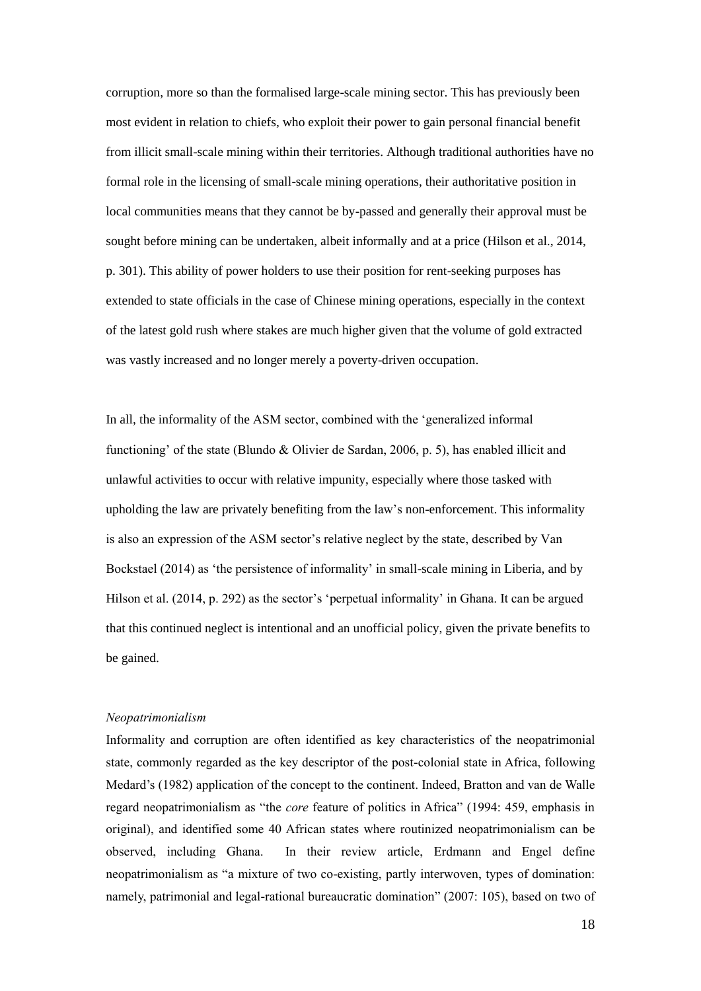corruption, more so than the formalised large-scale mining sector. This has previously been most evident in relation to chiefs, who exploit their power to gain personal financial benefit from illicit small-scale mining within their territories. Although traditional authorities have no formal role in the licensing of small-scale mining operations, their authoritative position in local communities means that they cannot be by-passed and generally their approval must be sought before mining can be undertaken, albeit informally and at a price (Hilson et al., 2014, p. 301). This ability of power holders to use their position for rent-seeking purposes has extended to state officials in the case of Chinese mining operations, especially in the context of the latest gold rush where stakes are much higher given that the volume of gold extracted was vastly increased and no longer merely a poverty-driven occupation.

In all, the informality of the ASM sector, combined with the 'generalized informal functioning' of the state (Blundo & Olivier de Sardan, 2006, p. 5), has enabled illicit and unlawful activities to occur with relative impunity, especially where those tasked with upholding the law are privately benefiting from the law's non-enforcement. This informality is also an expression of the ASM sector's relative neglect by the state, described by Van Bockstael (2014) as 'the persistence of informality' in small-scale mining in Liberia, and by Hilson et al. (2014, p. 292) as the sector's 'perpetual informality' in Ghana. It can be argued that this continued neglect is intentional and an unofficial policy, given the private benefits to be gained.

### *Neopatrimonialism*

Informality and corruption are often identified as key characteristics of the neopatrimonial state, commonly regarded as the key descriptor of the post-colonial state in Africa, following Medard's (1982) application of the concept to the continent. Indeed, Bratton and van de Walle regard neopatrimonialism as "the *core* feature of politics in Africa" (1994: 459, emphasis in original), and identified some 40 African states where routinized neopatrimonialism can be observed, including Ghana. In their review article, Erdmann and Engel define neopatrimonialism as "a mixture of two co-existing, partly interwoven, types of domination: namely, patrimonial and legal-rational bureaucratic domination" (2007: 105), based on two of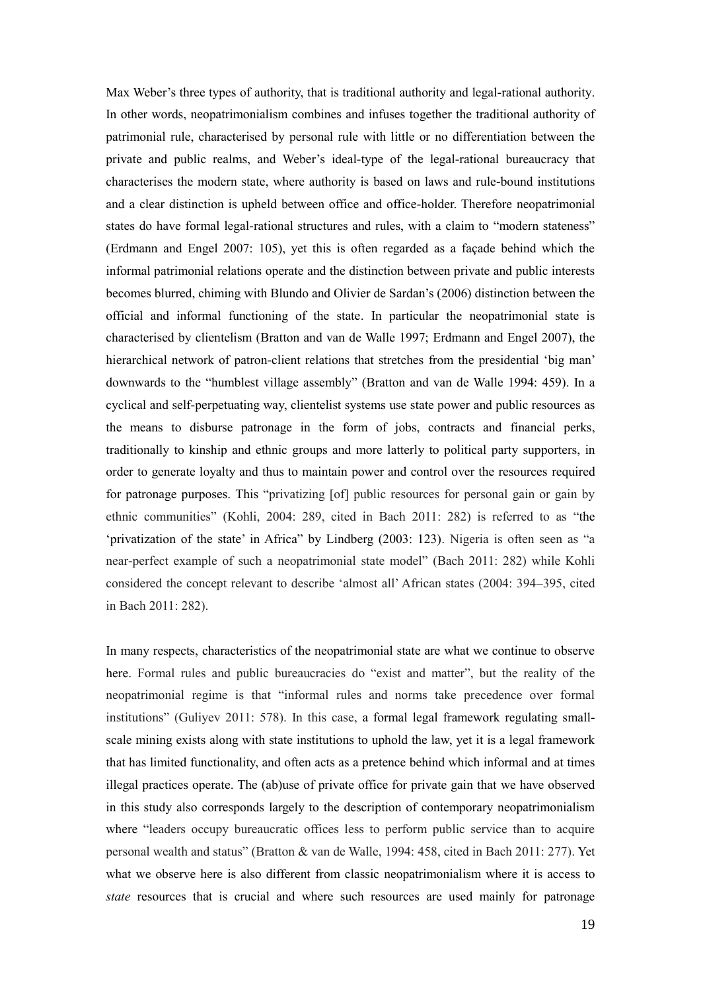Max Weber's three types of authority, that is traditional authority and legal-rational authority. In other words, neopatrimonialism combines and infuses together the traditional authority of patrimonial rule, characterised by personal rule with little or no differentiation between the private and public realms, and Weber's ideal-type of the legal-rational bureaucracy that characterises the modern state, where authority is based on laws and rule-bound institutions and a clear distinction is upheld between office and office-holder. Therefore neopatrimonial states do have formal legal-rational structures and rules, with a claim to "modern stateness" (Erdmann and Engel 2007: 105), yet this is often regarded as a façade behind which the informal patrimonial relations operate and the distinction between private and public interests becomes blurred, chiming with Blundo and Olivier de Sardan's (2006) distinction between the official and informal functioning of the state. In particular the neopatrimonial state is characterised by clientelism (Bratton and van de Walle 1997; Erdmann and Engel 2007), the hierarchical network of patron-client relations that stretches from the presidential 'big man' downwards to the "humblest village assembly" (Bratton and van de Walle 1994: 459). In a cyclical and self-perpetuating way, clientelist systems use state power and public resources as the means to disburse patronage in the form of jobs, contracts and financial perks, traditionally to kinship and ethnic groups and more latterly to political party supporters, in order to generate loyalty and thus to maintain power and control over the resources required for patronage purposes. This "privatizing [of] public resources for personal gain or gain by ethnic communities" (Kohli, 2004: 289, cited in Bach 2011: 282) is referred to as "the 'privatization of the state' in Africa" by Lindberg (2003: 123). Nigeria is often seen as "a near-perfect example of such a neopatrimonial state model" (Bach 2011: 282) while Kohli considered the concept relevant to describe 'almost all' African states (2004: 394–395, cited in Bach 2011: 282).

In many respects, characteristics of the neopatrimonial state are what we continue to observe here. Formal rules and public bureaucracies do "exist and matter", but the reality of the neopatrimonial regime is that "informal rules and norms take precedence over formal institutions" (Guliyev 2011: 578). In this case, a formal legal framework regulating smallscale mining exists along with state institutions to uphold the law, yet it is a legal framework that has limited functionality, and often acts as a pretence behind which informal and at times illegal practices operate. The (ab)use of private office for private gain that we have observed in this study also corresponds largely to the description of contemporary neopatrimonialism where "leaders occupy bureaucratic offices less to perform public service than to acquire personal wealth and status" (Bratton & van de Walle, 1994: 458, cited in Bach 2011: 277). Yet what we observe here is also different from classic neopatrimonialism where it is access to *state* resources that is crucial and where such resources are used mainly for patronage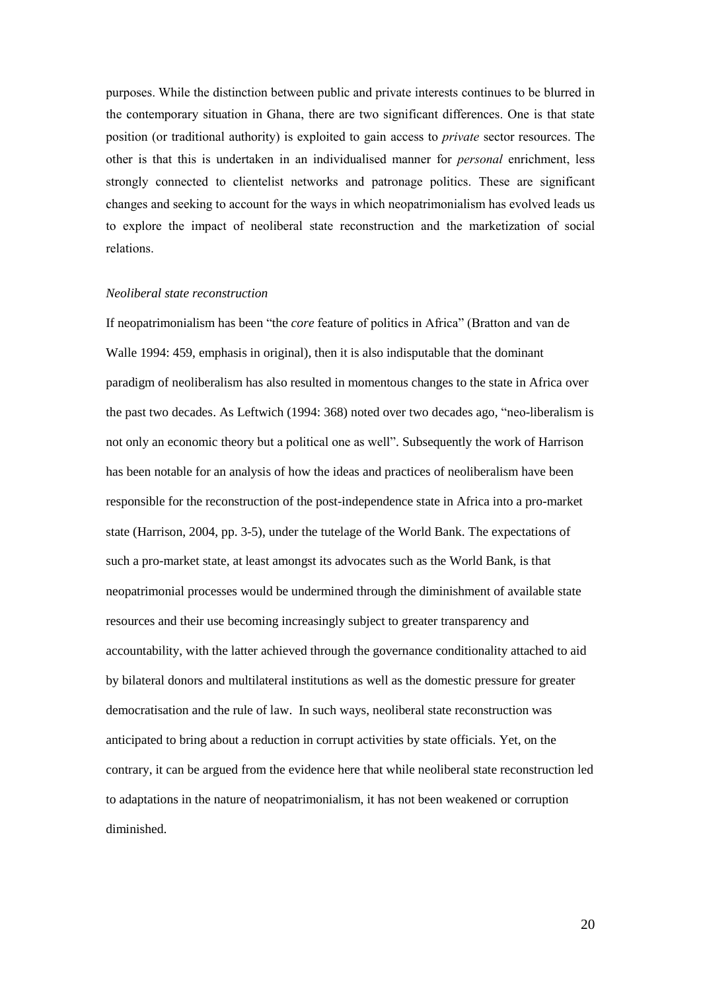purposes. While the distinction between public and private interests continues to be blurred in the contemporary situation in Ghana, there are two significant differences. One is that state position (or traditional authority) is exploited to gain access to *private* sector resources. The other is that this is undertaken in an individualised manner for *personal* enrichment, less strongly connected to clientelist networks and patronage politics. These are significant changes and seeking to account for the ways in which neopatrimonialism has evolved leads us to explore the impact of neoliberal state reconstruction and the marketization of social relations.

#### *Neoliberal state reconstruction*

If neopatrimonialism has been "the *core* feature of politics in Africa" (Bratton and van de Walle 1994: 459, emphasis in original), then it is also indisputable that the dominant paradigm of neoliberalism has also resulted in momentous changes to the state in Africa over the past two decades. As Leftwich (1994: 368) noted over two decades ago, "neo-liberalism is not only an economic theory but a political one as well". Subsequently the work of Harrison has been notable for an analysis of how the ideas and practices of neoliberalism have been responsible for the reconstruction of the post-independence state in Africa into a pro-market state (Harrison, 2004, pp. 3-5), under the tutelage of the World Bank. The expectations of such a pro-market state, at least amongst its advocates such as the World Bank, is that neopatrimonial processes would be undermined through the diminishment of available state resources and their use becoming increasingly subject to greater transparency and accountability, with the latter achieved through the governance conditionality attached to aid by bilateral donors and multilateral institutions as well as the domestic pressure for greater democratisation and the rule of law. In such ways, neoliberal state reconstruction was anticipated to bring about a reduction in corrupt activities by state officials. Yet, on the contrary, it can be argued from the evidence here that while neoliberal state reconstruction led to adaptations in the nature of neopatrimonialism, it has not been weakened or corruption diminished.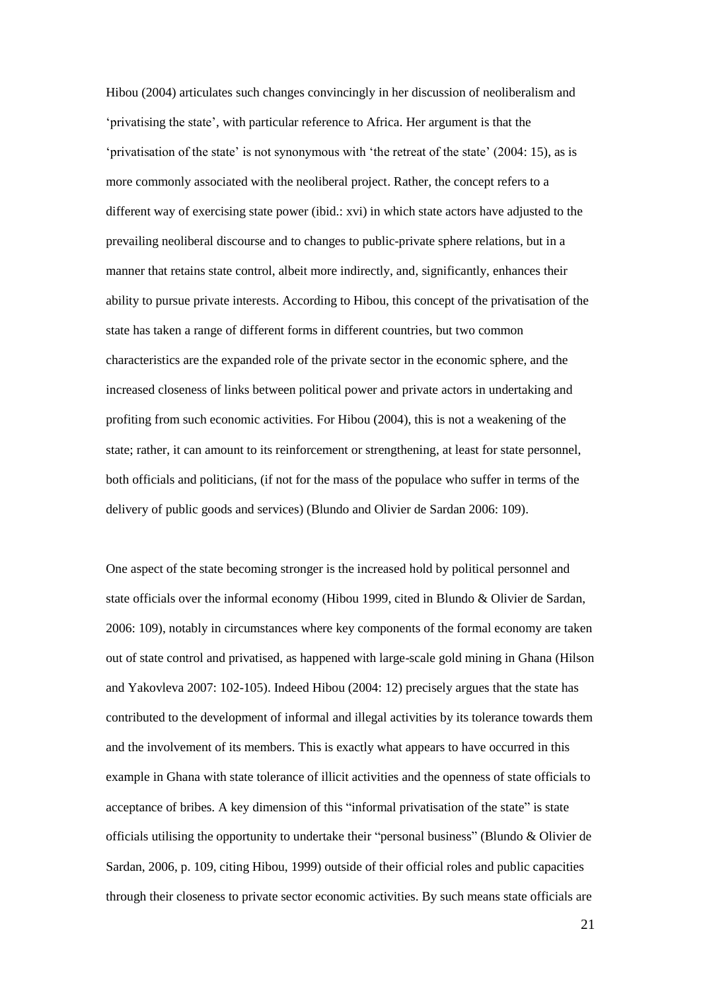Hibou (2004) articulates such changes convincingly in her discussion of neoliberalism and 'privatising the state', with particular reference to Africa. Her argument is that the 'privatisation of the state' is not synonymous with 'the retreat of the state' (2004: 15), as is more commonly associated with the neoliberal project. Rather, the concept refers to a different way of exercising state power (ibid.: xvi) in which state actors have adjusted to the prevailing neoliberal discourse and to changes to public-private sphere relations, but in a manner that retains state control, albeit more indirectly, and, significantly, enhances their ability to pursue private interests. According to Hibou, this concept of the privatisation of the state has taken a range of different forms in different countries, but two common characteristics are the expanded role of the private sector in the economic sphere, and the increased closeness of links between political power and private actors in undertaking and profiting from such economic activities. For Hibou (2004), this is not a weakening of the state; rather, it can amount to its reinforcement or strengthening, at least for state personnel, both officials and politicians, (if not for the mass of the populace who suffer in terms of the delivery of public goods and services) (Blundo and Olivier de Sardan 2006: 109).

One aspect of the state becoming stronger is the increased hold by political personnel and state officials over the informal economy (Hibou 1999, cited in Blundo & Olivier de Sardan, 2006: 109), notably in circumstances where key components of the formal economy are taken out of state control and privatised, as happened with large-scale gold mining in Ghana (Hilson and Yakovleva 2007: 102-105). Indeed Hibou (2004: 12) precisely argues that the state has contributed to the development of informal and illegal activities by its tolerance towards them and the involvement of its members. This is exactly what appears to have occurred in this example in Ghana with state tolerance of illicit activities and the openness of state officials to acceptance of bribes. A key dimension of this "informal privatisation of the state" is state officials utilising the opportunity to undertake their "personal business" (Blundo & Olivier de Sardan, 2006, p. 109, citing Hibou, 1999) outside of their official roles and public capacities through their closeness to private sector economic activities. By such means state officials are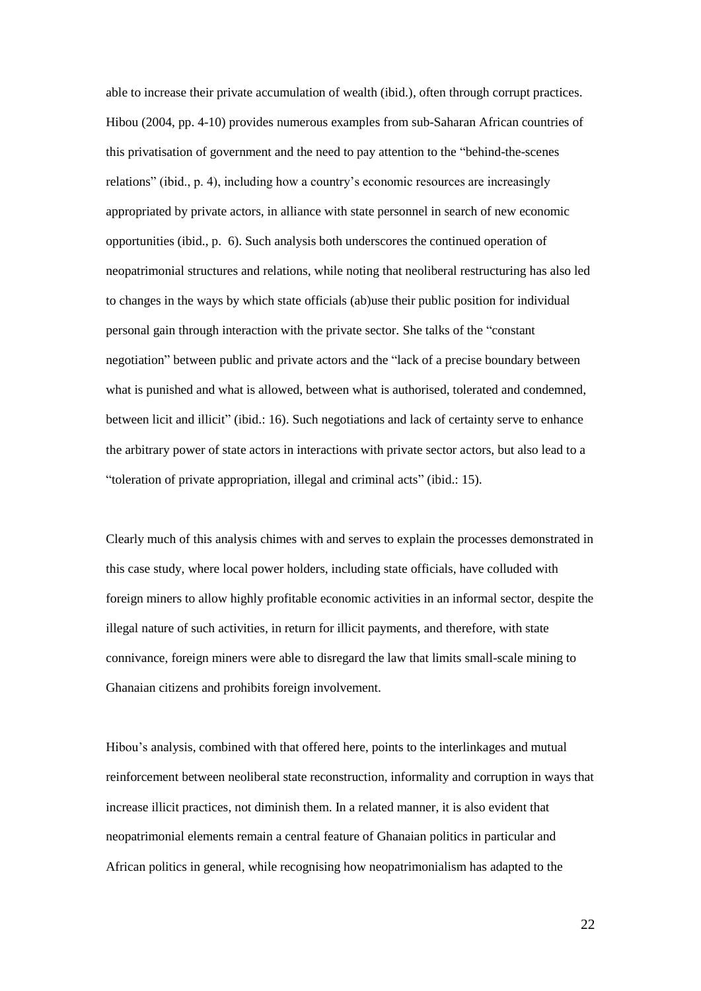able to increase their private accumulation of wealth (ibid.), often through corrupt practices. Hibou (2004, pp. 4-10) provides numerous examples from sub-Saharan African countries of this privatisation of government and the need to pay attention to the "behind-the-scenes relations" (ibid., p. 4), including how a country's economic resources are increasingly appropriated by private actors, in alliance with state personnel in search of new economic opportunities (ibid., p. 6). Such analysis both underscores the continued operation of neopatrimonial structures and relations, while noting that neoliberal restructuring has also led to changes in the ways by which state officials (ab)use their public position for individual personal gain through interaction with the private sector. She talks of the "constant negotiation" between public and private actors and the "lack of a precise boundary between what is punished and what is allowed, between what is authorised, tolerated and condemned, between licit and illicit" (ibid.: 16). Such negotiations and lack of certainty serve to enhance the arbitrary power of state actors in interactions with private sector actors, but also lead to a "toleration of private appropriation, illegal and criminal acts" (ibid.: 15).

Clearly much of this analysis chimes with and serves to explain the processes demonstrated in this case study, where local power holders, including state officials, have colluded with foreign miners to allow highly profitable economic activities in an informal sector, despite the illegal nature of such activities, in return for illicit payments, and therefore, with state connivance, foreign miners were able to disregard the law that limits small-scale mining to Ghanaian citizens and prohibits foreign involvement.

Hibou's analysis, combined with that offered here, points to the interlinkages and mutual reinforcement between neoliberal state reconstruction, informality and corruption in ways that increase illicit practices, not diminish them. In a related manner, it is also evident that neopatrimonial elements remain a central feature of Ghanaian politics in particular and African politics in general, while recognising how neopatrimonialism has adapted to the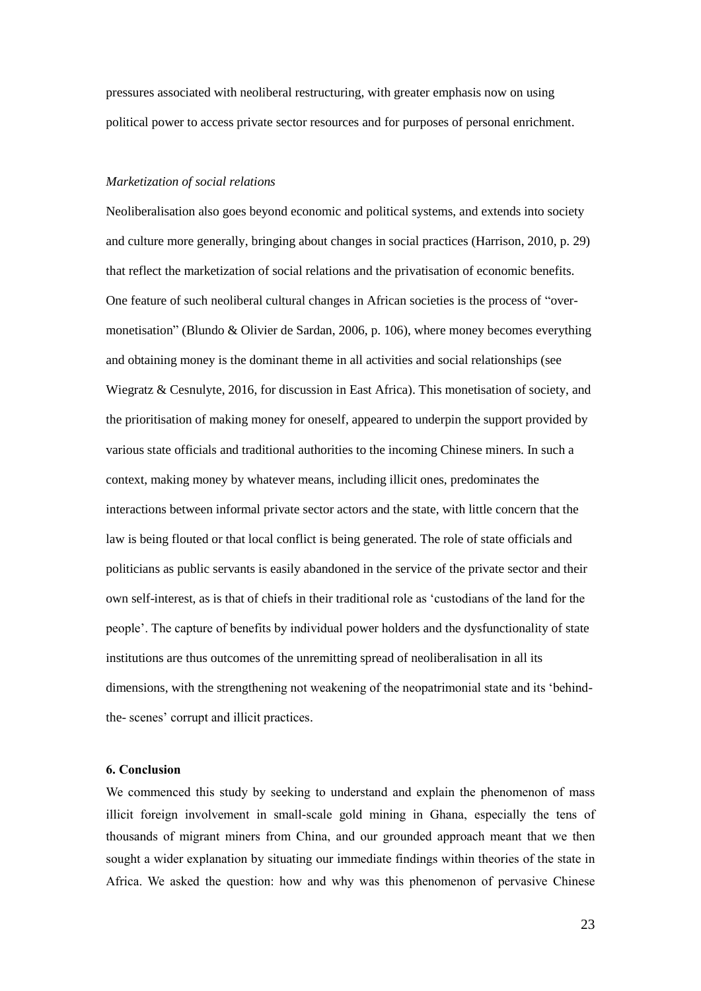pressures associated with neoliberal restructuring, with greater emphasis now on using political power to access private sector resources and for purposes of personal enrichment.

#### *Marketization of social relations*

Neoliberalisation also goes beyond economic and political systems, and extends into society and culture more generally, bringing about changes in social practices (Harrison, 2010, p. 29) that reflect the marketization of social relations and the privatisation of economic benefits. One feature of such neoliberal cultural changes in African societies is the process of "overmonetisation" (Blundo & Olivier de Sardan, 2006, p. 106), where money becomes everything and obtaining money is the dominant theme in all activities and social relationships (see Wiegratz & Cesnulyte, 2016, for discussion in East Africa). This monetisation of society, and the prioritisation of making money for oneself, appeared to underpin the support provided by various state officials and traditional authorities to the incoming Chinese miners. In such a context, making money by whatever means, including illicit ones, predominates the interactions between informal private sector actors and the state, with little concern that the law is being flouted or that local conflict is being generated. The role of state officials and politicians as public servants is easily abandoned in the service of the private sector and their own self-interest, as is that of chiefs in their traditional role as 'custodians of the land for the people'. The capture of benefits by individual power holders and the dysfunctionality of state institutions are thus outcomes of the unremitting spread of neoliberalisation in all its dimensions, with the strengthening not weakening of the neopatrimonial state and its 'behindthe- scenes' corrupt and illicit practices.

#### **6. Conclusion**

We commenced this study by seeking to understand and explain the phenomenon of mass illicit foreign involvement in small-scale gold mining in Ghana, especially the tens of thousands of migrant miners from China, and our grounded approach meant that we then sought a wider explanation by situating our immediate findings within theories of the state in Africa. We asked the question: how and why was this phenomenon of pervasive Chinese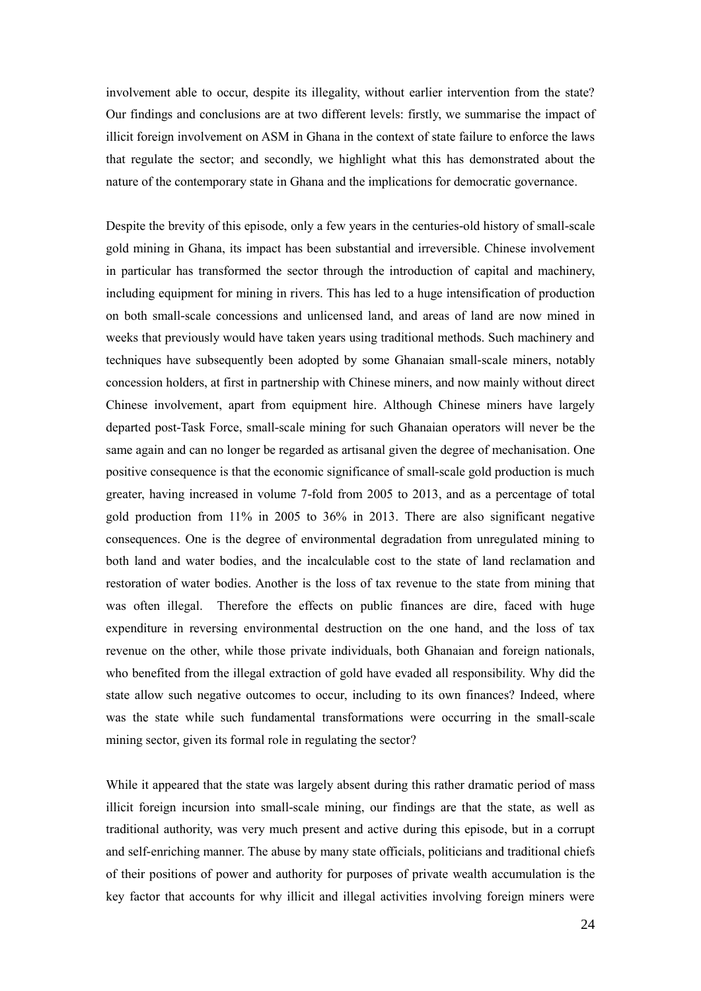involvement able to occur, despite its illegality, without earlier intervention from the state? Our findings and conclusions are at two different levels: firstly, we summarise the impact of illicit foreign involvement on ASM in Ghana in the context of state failure to enforce the laws that regulate the sector; and secondly, we highlight what this has demonstrated about the nature of the contemporary state in Ghana and the implications for democratic governance.

Despite the brevity of this episode, only a few years in the centuries-old history of small-scale gold mining in Ghana, its impact has been substantial and irreversible. Chinese involvement in particular has transformed the sector through the introduction of capital and machinery, including equipment for mining in rivers. This has led to a huge intensification of production on both small-scale concessions and unlicensed land, and areas of land are now mined in weeks that previously would have taken years using traditional methods. Such machinery and techniques have subsequently been adopted by some Ghanaian small-scale miners, notably concession holders, at first in partnership with Chinese miners, and now mainly without direct Chinese involvement, apart from equipment hire. Although Chinese miners have largely departed post-Task Force, small-scale mining for such Ghanaian operators will never be the same again and can no longer be regarded as artisanal given the degree of mechanisation. One positive consequence is that the economic significance of small-scale gold production is much greater, having increased in volume 7-fold from 2005 to 2013, and as a percentage of total gold production from 11% in 2005 to 36% in 2013. There are also significant negative consequences. One is the degree of environmental degradation from unregulated mining to both land and water bodies, and the incalculable cost to the state of land reclamation and restoration of water bodies. Another is the loss of tax revenue to the state from mining that was often illegal. Therefore the effects on public finances are dire, faced with huge expenditure in reversing environmental destruction on the one hand, and the loss of tax revenue on the other, while those private individuals, both Ghanaian and foreign nationals, who benefited from the illegal extraction of gold have evaded all responsibility. Why did the state allow such negative outcomes to occur, including to its own finances? Indeed, where was the state while such fundamental transformations were occurring in the small-scale mining sector, given its formal role in regulating the sector?

While it appeared that the state was largely absent during this rather dramatic period of mass illicit foreign incursion into small-scale mining, our findings are that the state, as well as traditional authority, was very much present and active during this episode, but in a corrupt and self-enriching manner. The abuse by many state officials, politicians and traditional chiefs of their positions of power and authority for purposes of private wealth accumulation is the key factor that accounts for why illicit and illegal activities involving foreign miners were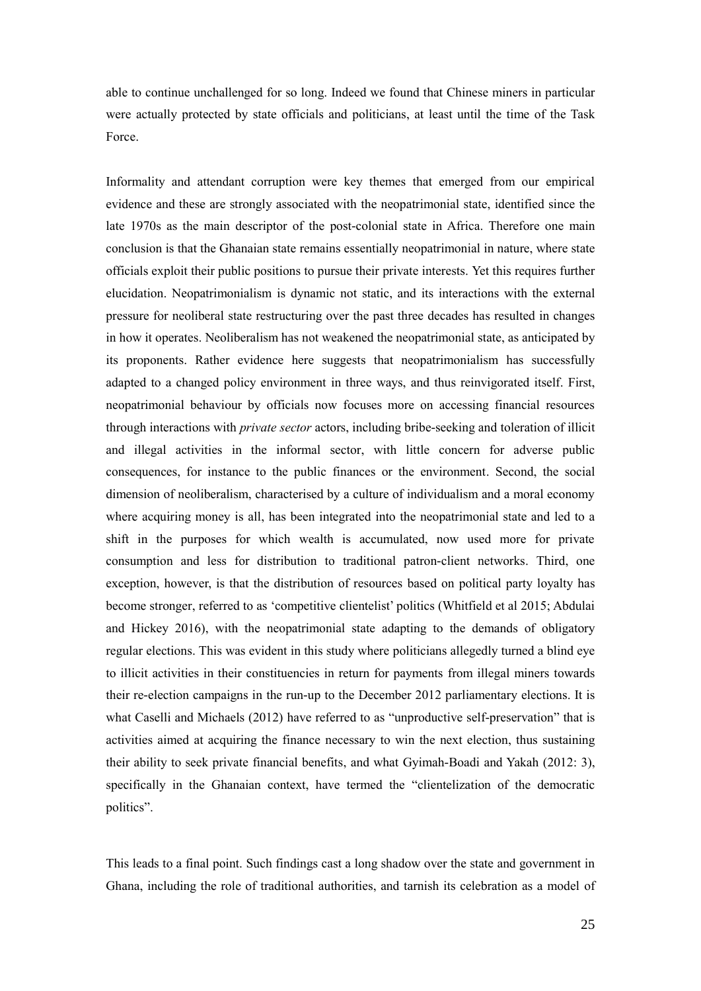able to continue unchallenged for so long. Indeed we found that Chinese miners in particular were actually protected by state officials and politicians, at least until the time of the Task Force.

Informality and attendant corruption were key themes that emerged from our empirical evidence and these are strongly associated with the neopatrimonial state, identified since the late 1970s as the main descriptor of the post-colonial state in Africa. Therefore one main conclusion is that the Ghanaian state remains essentially neopatrimonial in nature, where state officials exploit their public positions to pursue their private interests. Yet this requires further elucidation. Neopatrimonialism is dynamic not static, and its interactions with the external pressure for neoliberal state restructuring over the past three decades has resulted in changes in how it operates. Neoliberalism has not weakened the neopatrimonial state, as anticipated by its proponents. Rather evidence here suggests that neopatrimonialism has successfully adapted to a changed policy environment in three ways, and thus reinvigorated itself. First, neopatrimonial behaviour by officials now focuses more on accessing financial resources through interactions with *private sector* actors, including bribe-seeking and toleration of illicit and illegal activities in the informal sector, with little concern for adverse public consequences, for instance to the public finances or the environment. Second, the social dimension of neoliberalism, characterised by a culture of individualism and a moral economy where acquiring money is all, has been integrated into the neopatrimonial state and led to a shift in the purposes for which wealth is accumulated, now used more for private consumption and less for distribution to traditional patron-client networks. Third, one exception, however, is that the distribution of resources based on political party loyalty has become stronger, referred to as 'competitive clientelist' politics (Whitfield et al 2015; Abdulai and Hickey 2016), with the neopatrimonial state adapting to the demands of obligatory regular elections. This was evident in this study where politicians allegedly turned a blind eye to illicit activities in their constituencies in return for payments from illegal miners towards their re-election campaigns in the run-up to the December 2012 parliamentary elections. It is what Caselli and Michaels (2012) have referred to as "unproductive self-preservation" that is activities aimed at acquiring the finance necessary to win the next election, thus sustaining their ability to seek private financial benefits, and what Gyimah-Boadi and Yakah (2012: 3), specifically in the Ghanaian context, have termed the "clientelization of the democratic politics".

This leads to a final point. Such findings cast a long shadow over the state and government in Ghana, including the role of traditional authorities, and tarnish its celebration as a model of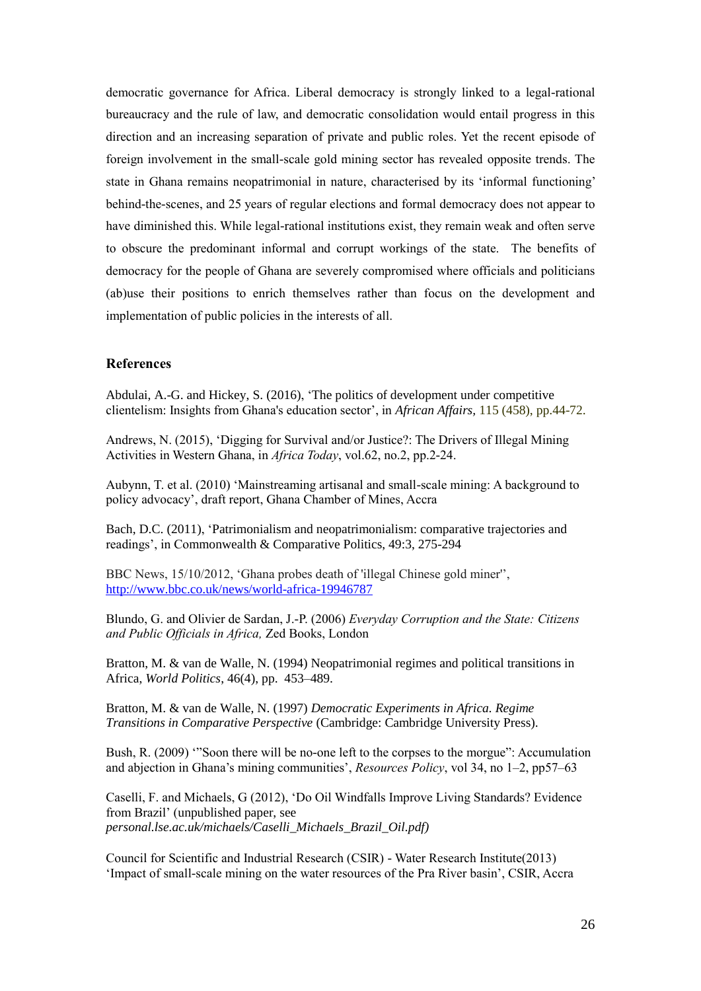democratic governance for Africa. Liberal democracy is strongly linked to a legal-rational bureaucracy and the rule of law, and democratic consolidation would entail progress in this direction and an increasing separation of private and public roles. Yet the recent episode of foreign involvement in the small-scale gold mining sector has revealed opposite trends. The state in Ghana remains neopatrimonial in nature, characterised by its 'informal functioning' behind-the-scenes, and 25 years of regular elections and formal democracy does not appear to have diminished this. While legal-rational institutions exist, they remain weak and often serve to obscure the predominant informal and corrupt workings of the state. The benefits of democracy for the people of Ghana are severely compromised where officials and politicians (ab)use their positions to enrich themselves rather than focus on the development and implementation of public policies in the interests of all.

## **References**

Abdulai, A.-G. and Hickey, S. (2016), 'The politics of development under competitive clientelism: Insights from Ghana's education sector', in *African Affairs,* 115 (458), pp.44-72.

Andrews, N. (2015), 'Digging for Survival and/or Justice?: The Drivers of Illegal Mining Activities in Western Ghana, in *Africa Today*, vol.62, no.2, pp.2-24.

Aubynn, T. et al. (2010) 'Mainstreaming artisanal and small-scale mining: A background to policy advocacy', draft report, Ghana Chamber of Mines, Accra

Bach, D.C. (2011), 'Patrimonialism and neopatrimonialism: comparative trajectories and readings', in Commonwealth & Comparative Politics, 49:3, 275-294

BBC News, 15/10/2012, 'Ghana probes death of 'illegal Chinese gold miner'', <http://www.bbc.co.uk/news/world-africa-19946787>

Blundo, G. and Olivier de Sardan, J.-P. (2006) *Everyday Corruption and the State: Citizens and Public Officials in Africa,* Zed Books, London

Bratton, M. & van de Walle, N. (1994) Neopatrimonial regimes and political transitions in Africa, *World Politics*, 46(4), pp. 453–489.

Bratton, M. & van de Walle, N. (1997) *Democratic Experiments in Africa. Regime Transitions in Comparative Perspective* (Cambridge: Cambridge University Press).

Bush, R. (2009) "Soon there will be no-one left to the corpses to the morgue": Accumulation and abjection in Ghana's mining communities', *Resources Policy*, vol 34, no 1–2, pp57–63

Caselli, F. and Michaels, G (2012), 'Do Oil Windfalls Improve Living Standards? Evidence from Brazil' (unpublished paper, see *personal.lse.ac.uk/michaels/Caselli\_Michaels\_Brazil\_Oil.pdf)*

Council for Scientific and Industrial Research (CSIR) - Water Research Institute(2013) 'Impact of small-scale mining on the water resources of the Pra River basin', CSIR, Accra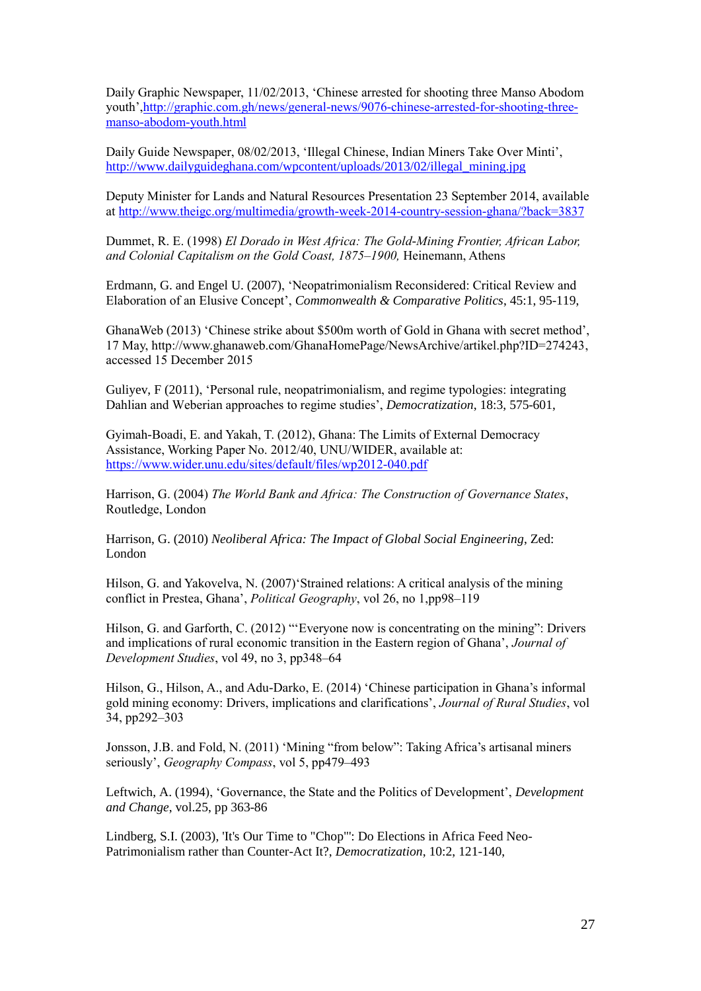Daily Graphic Newspaper, 11/02/2013, 'Chinese arrested for shooting three Manso Abodom youth'[,http://graphic.com.gh/news/general-news/9076-chinese-arrested-for-shooting-three](http://graphic.com.gh/news/general-news/9076-chinese-arrested-for-shooting-three-manso-abodom-youth.html)[manso-abodom-youth.html](http://graphic.com.gh/news/general-news/9076-chinese-arrested-for-shooting-three-manso-abodom-youth.html)

Daily Guide Newspaper, 08/02/2013, 'Illegal Chinese, Indian Miners Take Over Minti', [http://www.dailyguideghana.com/wpcontent/uploads/2013/02/illegal\\_mining.jpg](http://www.dailyguideghana.com/wpcontent/uploads/2013/02/illegal_mining.jpg)

Deputy Minister for Lands and Natural Resources Presentation 23 September 2014, available at http://www.theigc.org/multimedia/growth-week-2014-country-session-ghana/?back=3837

Dummet, R. E. (1998) *El Dorado in West Africa: The Gold-Mining Frontier, African Labor, and Colonial Capitalism on the Gold Coast, 1875–1900,* Heinemann, Athens

Erdmann, G. and Engel U. (2007), 'Neopatrimonialism Reconsidered: Critical Review and Elaboration of an Elusive Concept', *Commonwealth & Comparative Politics*, 45:1, 95-119,

GhanaWeb (2013) 'Chinese strike about \$500m worth of Gold in Ghana with secret method', 17 May[, http://www.ghanaweb.com/GhanaHomePage/NewsArchive/artikel.php?ID=274243,](http://www.ghanaweb.com/GhanaHomePage/NewsArchive/artikel.php?ID=274243) accessed 15 December 2015

Guliyev, F (2011), 'Personal rule, neopatrimonialism, and regime typologies: integrating Dahlian and Weberian approaches to regime studies', *Democratization*, 18:3, 575-601,

Gyimah-Boadi, E. and Yakah, T. (2012), Ghana: The Limits of External Democracy Assistance, Working Paper No. 2012/40, UNU/WIDER, available at: <https://www.wider.unu.edu/sites/default/files/wp2012-040.pdf>

Harrison, G. (2004) *The World Bank and Africa: The Construction of Governance States*, Routledge, London

Harrison, G. (2010) *Neoliberal Africa: The Impact of Global Social Engineering*, Zed: London

Hilson, G. and Yakovelva, N. (2007) Strained relations: A critical analysis of the mining conflict in Prestea, Ghana', *Political Geography*, vol 26, no 1,pp98–119

Hilson, G. and Garforth, C. (2012) "Everyone now is concentrating on the mining": Drivers and implications of rural economic transition in the Eastern region of Ghana', *Journal of Development Studies*, vol 49, no 3, pp348–64

Hilson, G., Hilson, A., and Adu-Darko, E. (2014) 'Chinese participation in Ghana's informal gold mining economy: Drivers, implications and clarifications', *Journal of Rural Studies*, vol 34, pp292–303

Jonsson, J.B. and Fold, N. (2011) 'Mining "from below": Taking Africa's artisanal miners seriously', *Geography Compass*, vol 5, pp479–493

Leftwich, A. (1994), 'Governance, the State and the Politics of Development', *Development and Change*, vol.25, pp 363-86

Lindberg, S.I. (2003), 'It's Our Time to "Chop"': Do Elections in Africa Feed Neo-Patrimonialism rather than Counter-Act It?, *Democratization*, 10:2, 121-140,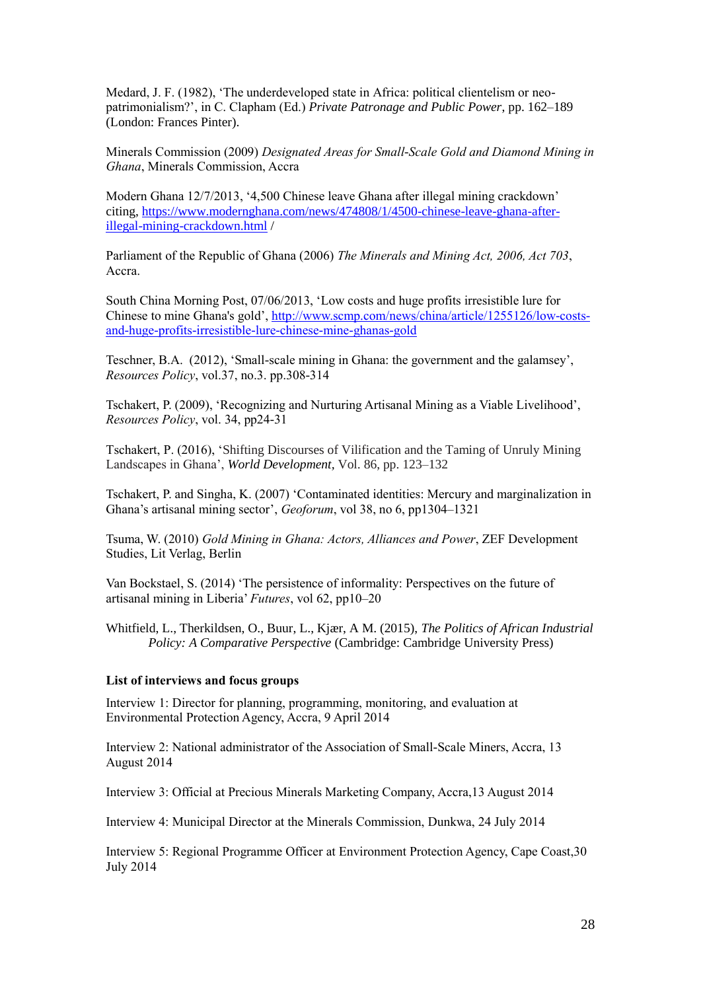Medard, J. F. (1982), 'The underdeveloped state in Africa: political clientelism or neopatrimonialism?', in C. Clapham (Ed.) *Private Patronage and Public Power*, pp. 162–189 (London: Frances Pinter).

Minerals Commission (2009) *Designated Areas for Small-Scale Gold and Diamond Mining in Ghana*, Minerals Commission, Accra

Modern Ghana 12/7/2013, '4,500 Chinese leave Ghana after illegal mining crackdown' citing, [https://www.modernghana.com/news/474808/1/4500-chinese-leave-ghana-after](https://www.modernghana.com/news/474808/1/4500-chinese-leave-ghana-after-illegal-mining-crackdown.html)[illegal-mining-crackdown.html](https://www.modernghana.com/news/474808/1/4500-chinese-leave-ghana-after-illegal-mining-crackdown.html) /

Parliament of the Republic of Ghana (2006) *The Minerals and Mining Act, 2006, Act 703*, Accra.

South China Morning Post, 07/06/2013, 'Low costs and huge profits irresistible lure for Chinese to mine Ghana's gold'[, http://www.scmp.com/news/china/article/1255126/low-costs](http://www.scmp.com/news/china/article/1255126/low-costs-and-huge-profits-irresistible-lure-chinese-mine-ghanas-gold)[and-huge-profits-irresistible-lure-chinese-mine-ghanas-gold](http://www.scmp.com/news/china/article/1255126/low-costs-and-huge-profits-irresistible-lure-chinese-mine-ghanas-gold)

Teschner, B.A. (2012), 'Small-scale mining in Ghana: the government and the galamsey', *Resources Policy*, vol.37, no.3. pp.308-314

Tschakert, P. (2009), 'Recognizing and Nurturing Artisanal Mining as a Viable Livelihood', *Resources Policy*, vol. 34, pp24-31

Tschakert, P. (2016), 'Shifting Discourses of Vilification and the Taming of Unruly Mining Landscapes in Ghana', *World Development,* Vol. 86, pp. 123–132

Tschakert, P. and Singha, K. (2007) 'Contaminated identities: Mercury and marginalization in Ghana's artisanal mining sector', *Geoforum*, vol 38, no 6, pp1304–1321

Tsuma, W. (2010) *Gold Mining in Ghana: Actors, Alliances and Power*, ZEF Development Studies, Lit Verlag, Berlin

Van Bockstael, S. (2014) 'The persistence of informality: Perspectives on the future of artisanal mining in Liberia' *Futures*, vol 62, pp10–20

Whitfield, L., Therkildsen, O., Buur, L., Kjær, A M. (2015), *The Politics of African Industrial Policy: A Comparative Perspective* (Cambridge: Cambridge University Press)

## **List of interviews and focus groups**

Interview 1: Director for planning, programming, monitoring, and evaluation at Environmental Protection Agency, Accra, 9 April 2014

Interview 2: National administrator of the Association of Small-Scale Miners, Accra, 13 August 2014

Interview 3: Official at Precious Minerals Marketing Company, Accra,13 August 2014

Interview 4: Municipal Director at the Minerals Commission, Dunkwa, 24 July 2014

Interview 5: Regional Programme Officer at Environment Protection Agency, Cape Coast,30 July 2014